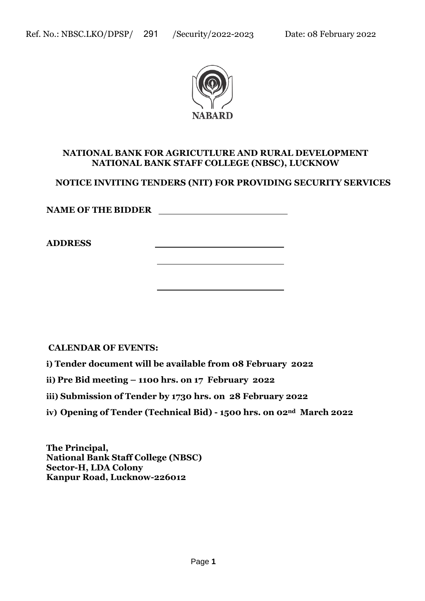

#### **NATIONAL BANK FOR AGRICUTLURE AND RURAL DEVELOPMENT NATIONAL BANK STAFF COLLEGE (NBSC), LUCKNOW**

**NOTICE INVITING TENDERS (NIT) FOR PROVIDING SECURITY SERVICES**

**NAME OF THE BIDDER**

**ADDRESS**

**CALENDAR OF EVENTS:**

**i) Tender document will be available from 08 February 2022**

**ii) Pre Bid meeting – 1100 hrs. on 17 February 2022**

**iii) Submission of Tender by 1730 hrs. on 28 February 2022**

**iv) Opening of Tender (Technical Bid) - 1500 hrs. on 02nd March 2022**

**The Principal, National Bank Staff College (NBSC) Sector-H, LDA Colony Kanpur Road, Lucknow-226012**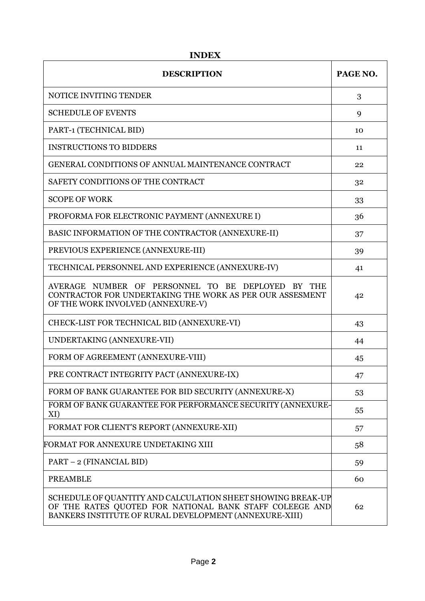| <b>DESCRIPTION</b>                                                                                                                                                               | PAGE NO. |
|----------------------------------------------------------------------------------------------------------------------------------------------------------------------------------|----------|
| NOTICE INVITING TENDER                                                                                                                                                           | 3        |
| <b>SCHEDULE OF EVENTS</b>                                                                                                                                                        | 9        |
| PART-1 (TECHNICAL BID)                                                                                                                                                           | 10       |
| <b>INSTRUCTIONS TO BIDDERS</b>                                                                                                                                                   | 11       |
| <b>GENERAL CONDITIONS OF ANNUAL MAINTENANCE CONTRACT</b>                                                                                                                         | 22       |
| SAFETY CONDITIONS OF THE CONTRACT                                                                                                                                                | 32       |
| <b>SCOPE OF WORK</b>                                                                                                                                                             | 33       |
| PROFORMA FOR ELECTRONIC PAYMENT (ANNEXURE I)                                                                                                                                     | 36       |
| BASIC INFORMATION OF THE CONTRACTOR (ANNEXURE-II)                                                                                                                                | 37       |
| PREVIOUS EXPERIENCE (ANNEXURE-III)                                                                                                                                               | 39       |
| TECHNICAL PERSONNEL AND EXPERIENCE (ANNEXURE-IV)                                                                                                                                 | 41       |
| AVERAGE NUMBER OF PERSONNEL TO BE DEPLOYED BY THE<br>CONTRACTOR FOR UNDERTAKING THE WORK AS PER OUR ASSESMENT<br>OF THE WORK INVOLVED (ANNEXURE-V)                               | 42       |
| CHECK-LIST FOR TECHNICAL BID (ANNEXURE-VI)                                                                                                                                       | 43       |
| UNDERTAKING (ANNEXURE-VII)                                                                                                                                                       | 44       |
| FORM OF AGREEMENT (ANNEXURE-VIII)                                                                                                                                                | 45       |
| PRE CONTRACT INTEGRITY PACT (ANNEXURE-IX)                                                                                                                                        | 47       |
| FORM OF BANK GUARANTEE FOR BID SECURITY (ANNEXURE-X)                                                                                                                             | 53       |
| FORM OF BANK GUARANTEE FOR PERFORMANCE SECURITY (ANNEXURE-<br>XI)                                                                                                                | 55       |
| FORMAT FOR CLIENT'S REPORT (ANNEXURE-XII)                                                                                                                                        | 57       |
| FORMAT FOR ANNEXURE UNDETAKING XIII                                                                                                                                              | 58       |
| PART - 2 (FINANCIAL BID)                                                                                                                                                         | 59       |
| <b>PREAMBLE</b>                                                                                                                                                                  | 60       |
| SCHEDULE OF QUANTITY AND CALCULATION SHEET SHOWING BREAK-UP<br>OF THE RATES QUOTED FOR NATIONAL BANK STAFF COLEEGE AND<br>BANKERS INSTITUTE OF RURAL DEVELOPMENT (ANNEXURE-XIII) | 62       |

**INDEX**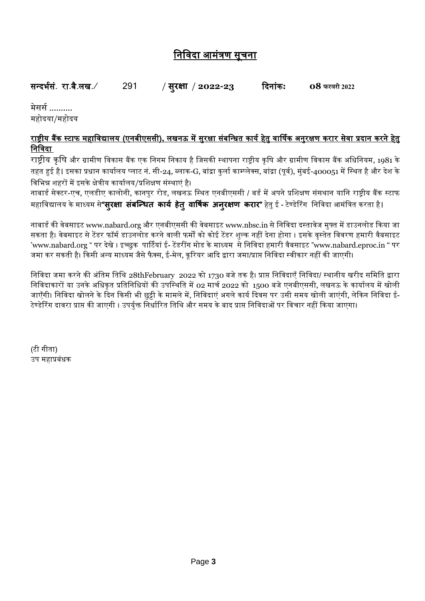# निनिदा आमंत्रण सूचिा

| सन्दर्भसं <i>.</i> रा.बै.लख. ∕ | / सूरक्षा / 2022-23 | दिनांक: | <b>O8</b> फरवरी 2022 |
|--------------------------------|---------------------|---------|----------------------|
|--------------------------------|---------------------|---------|----------------------|

<u>मेसर्स ..........</u> महोदया/महोदय

# <u>राष्ट्रीय बैंक स्टाफ महाविद्यालय (एनबीएससी), लखनऊ में सुरक्षा संबन्धित कार्य हेतु वार्षिक अनुरक्षण करार सेवा प्रदान करने हेतु</u> निनिदा

राष्ट्रीय कृषि और ग्रामीण विकास बैंक एक निगम निकाय है जिसकी स्थापना राष्ट्रीय कृषि और ग्रामीण विकास बैंक अधिनियम, 1981 के तहत हुई है। इसका प्रधान कार्यालय प्लाट नं. सी-24, ब्लाक-G, बांद्रा कुर्ला काम्प्लेक्स, बांद्रा (पूर्व), मुंबई-400051 में स्थित है और देश के निनर्न्न शहरों में इसके क्षेत्रीय कायाभलय/प्रनशक्षण संस्थाएं है।

नाबार्ड सेक्टर-एच, एलडीए कालोनी, कानपुर रोड, लखनऊ स्थित एनबीएससी / बर्ड में अपने प्रशिक्षण संसथान यानि राष्ट्रीय बैंक स्टाफ महानिद्यालय के माध्यम से**"सरुक्षा सबं न्धित कार्य हेतुवार्षकय अनरुक्षण करार"** हेतुई - टेण्र्ेररंग निनिदा आमंनत्रत करता है।

नाबार्ड की वेबसाइट www.nabard.org और एनबीएससी की वेबसाइट www.nbsc.in से निविदा दस्तावेज मुफ्त में डाउनलोड किया जा सकता है। वेबसाइट से टेंडर फॉर्म डाउनलोड करने वाली फर्मों को कोई टेंडर शुल्क नहीं देना होगा । इसके वृस्तेत विवरण हमारी वैबसाइट 'www.nabard.org " पर देखे । इच्छुक पार्टियां ई- टेंडरींग मोड के माध्यम से निविदा हमारी वैबसाइट "www.nabard.eproc.in " पर जमा कर सकती है। किसी अन्य माध्यम जैसे फैक्स, ई-मेल, करियर आदि द्वारा जमा/प्राप्त निविदा स्वीकार नहीं की जाएगी।

निविदा जमा करने की अंतिम तिथि 28thFebruary 2022 को 1730 बजे तक है। प्राप्त निविदाएँ निविदा/ स्थानीय खरीद समिति द्वारा निविदाकारों या उनके अधिकृत प्रतिनिधियों की उपस्थिति में 02 मार्च 2022 को 1500 बजे एनबीएससी, लखनऊ के कार्यालय में खोली जाएँगी। निविदा खोलने के दिन किसी भी छुट्टी के मामले में, निविदाएं अगले कार्य दिवस पर उसी समय खोली जाएंगी, लेकिन निविदा ई-टेण्डेरिंग दावरा प्राप्त की जाएगी । उपर्युक्त निर्धारित तिथि और समय के बाद प्राप्त निविदाओं पर विचार नहीं किया जाएगा।

(टी गीता) उप महाप्रबंधक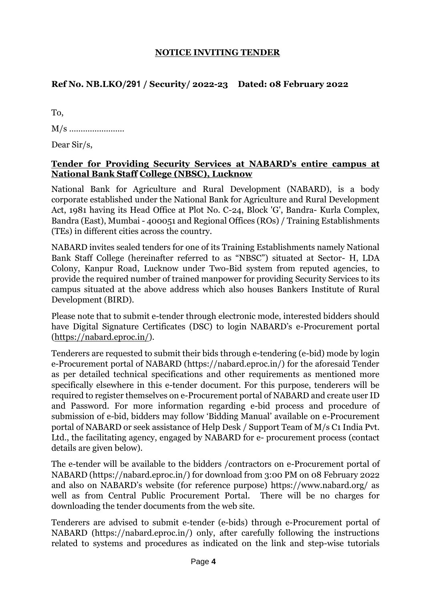#### **NOTICE INVITING TENDER**

# **Ref No. NB.LKO/291 / Security/ 2022-23 Dated: 08 February 2022**

| To.                                  |
|--------------------------------------|
|                                      |
| Dear $\frac{\text{Sir}}{\text{s}}$ , |

#### **Tender for Providing Security Services at NABARD's entire campus at National Bank Staff College (NBSC), Lucknow**

National Bank for Agriculture and Rural Development (NABARD), is a body corporate established under the National Bank for Agriculture and Rural Development Act, 1981 having its Head Office at Plot No. C-24, Block 'G', Bandra- Kurla Complex, Bandra (East), Mumbai - 400051 and Regional Offices (ROs) / Training Establishments (TEs) in different cities across the country.

NABARD invites sealed tenders for one of its Training Establishments namely National Bank Staff College (hereinafter referred to as "NBSC") situated at Sector- H, LDA Colony, Kanpur Road, Lucknow under Two-Bid system from reputed agencies, to provide the required number of trained manpower for providing Security Services to its campus situated at the above address which also houses Bankers Institute of Rural Development (BIRD).

Please note that to submit e-tender through electronic mode, interested bidders should have Digital Signature Certificates (DSC) to login NABARD's e-Procurement portal [\(https://nabard.eproc.in/\)](https://nabard.eproc.in/).

Tenderers are requested to submit their bids through e-tendering (e-bid) mode by login e-Procurement portal of NABARD (https://nabard.eproc.in/) for the aforesaid Tender as per detailed technical specifications and other requirements as mentioned more specifically elsewhere in this e-tender document. For this purpose, tenderers will be required to register themselves on e-Procurement portal of NABARD and create user ID and Password. For more information regarding e-bid process and procedure of submission of e-bid, bidders may follow 'Bidding Manual' available on e-Procurement portal of NABARD or seek assistance of Help Desk / Support Team of M/s C1 India Pvt. Ltd., the facilitating agency, engaged by NABARD for e- procurement process (contact details are given below).

The e-tender will be available to the bidders /contractors on e-Procurement portal of NABARD (https://nabard.eproc.in/) for download from 3:00 PM on 08 February 2022 and also on NABARD's website (for reference purpose) https://www.nabard.org/ as well as from Central Public Procurement Portal. There will be no charges for downloading the tender documents from the web site.

Tenderers are advised to submit e-tender (e-bids) through e-Procurement portal of NABARD (https://nabard.eproc.in/) only, after carefully following the instructions related to systems and procedures as indicated on the link and step-wise tutorials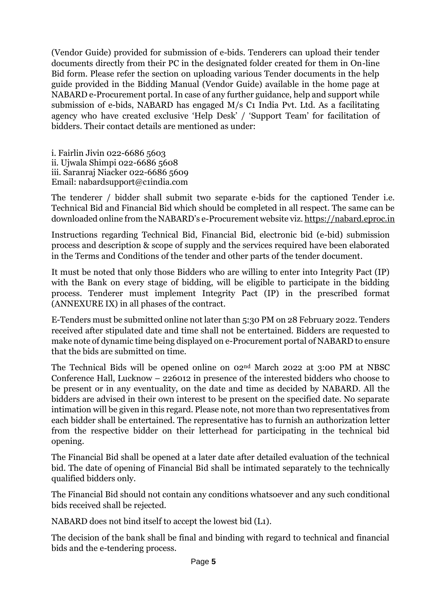(Vendor Guide) provided for submission of e-bids. Tenderers can upload their tender documents directly from their PC in the designated folder created for them in On-line Bid form. Please refer the section on uploading various Tender documents in the help guide provided in the Bidding Manual (Vendor Guide) available in the home page at NABARD e-Procurement portal. In case of any further guidance, help and support while submission of e-bids, NABARD has engaged M/s C1 India Pvt. Ltd. As a facilitating agency who have created exclusive 'Help Desk' / 'Support Team' for facilitation of bidders. Their contact details are mentioned as under:

i. Fairlin Jivin 022-6686 5603 ii. Ujwala Shimpi 022-6686 5608 iii. Saranraj Niacker 022-6686 5609 Email: nabardsupport@c1india.com

The tenderer / bidder shall submit two separate e-bids for the captioned Tender i.e. Technical Bid and Financial Bid which should be completed in all respect. The same can be downloaded online from the NABARD's e-Procurement website viz[. https://nabard.eproc.in](https://nabard.eproc.in/)

Instructions regarding Technical Bid, Financial Bid, electronic bid (e-bid) submission process and description & scope of supply and the services required have been elaborated in the Terms and Conditions of the tender and other parts of the tender document.

It must be noted that only those Bidders who are willing to enter into Integrity Pact (IP) with the Bank on every stage of bidding, will be eligible to participate in the bidding process. Tenderer must implement Integrity Pact (IP) in the prescribed format (ANNEXURE IX) in all phases of the contract.

E-Tenders must be submitted online not later than 5:30 PM on 28 February 2022. Tenders received after stipulated date and time shall not be entertained. Bidders are requested to make note of dynamic time being displayed on e-Procurement portal of NABARD to ensure that the bids are submitted on time.

The Technical Bids will be opened online on 02nd March 2022 at 3:00 PM at NBSC Conference Hall, Lucknow – 226012 in presence of the interested bidders who choose to be present or in any eventuality, on the date and time as decided by NABARD. All the bidders are advised in their own interest to be present on the specified date. No separate intimation will be given in this regard. Please note, not more than two representatives from each bidder shall be entertained. The representative has to furnish an authorization letter from the respective bidder on their letterhead for participating in the technical bid opening.

The Financial Bid shall be opened at a later date after detailed evaluation of the technical bid. The date of opening of Financial Bid shall be intimated separately to the technically qualified bidders only.

The Financial Bid should not contain any conditions whatsoever and any such conditional bids received shall be rejected.

NABARD does not bind itself to accept the lowest bid (L1).

The decision of the bank shall be final and binding with regard to technical and financial bids and the e-tendering process.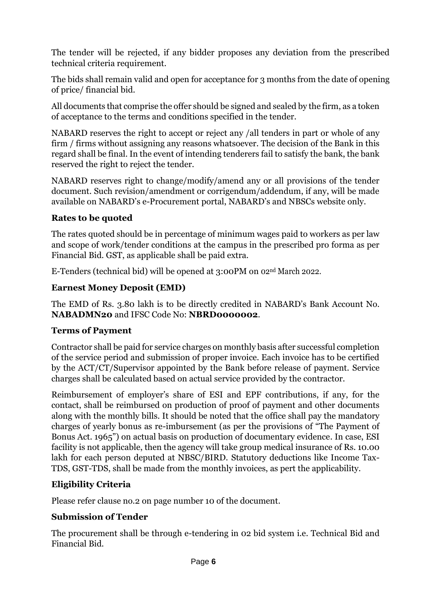The tender will be rejected, if any bidder proposes any deviation from the prescribed technical criteria requirement.

The bids shall remain valid and open for acceptance for 3 months from the date of opening of price/ financial bid.

All documents that comprise the offer should be signed and sealed by the firm, as a token of acceptance to the terms and conditions specified in the tender.

NABARD reserves the right to accept or reject any /all tenders in part or whole of any firm / firms without assigning any reasons whatsoever. The decision of the Bank in this regard shall be final. In the event of intending tenderers fail to satisfy the bank, the bank reserved the right to reject the tender.

NABARD reserves right to change/modify/amend any or all provisions of the tender document. Such revision/amendment or corrigendum/addendum, if any, will be made available on NABARD's e-Procurement portal, NABARD's and NBSCs website only.

# **Rates to be quoted**

The rates quoted should be in percentage of minimum wages paid to workers as per law and scope of work/tender conditions at the campus in the prescribed pro forma as per Financial Bid. GST, as applicable shall be paid extra.

E-Tenders (technical bid) will be opened at 3:00PM on 02nd March 2022.

# **Earnest Money Deposit (EMD)**

The EMD of Rs. 3.80 lakh is to be directly credited in NABARD's Bank Account No. **NABADMN20** and IFSC Code No: **NBRD0000002**.

# **Terms of Payment**

Contractor shall be paid for service charges on monthly basis after successful completion of the service period and submission of proper invoice. Each invoice has to be certified by the ACT/CT/Supervisor appointed by the Bank before release of payment. Service charges shall be calculated based on actual service provided by the contractor.

Reimbursement of employer's share of ESI and EPF contributions, if any, for the contact, shall be reimbursed on production of proof of payment and other documents along with the monthly bills. It should be noted that the office shall pay the mandatory charges of yearly bonus as re-imbursement (as per the provisions of "The Payment of Bonus Act. 1965") on actual basis on production of documentary evidence. In case, ESI facility is not applicable, then the agency will take group medical insurance of Rs. 10.00 lakh for each person deputed at NBSC/BIRD. Statutory deductions like Income Tax-TDS, GST-TDS, shall be made from the monthly invoices, as pert the applicability.

# **Eligibility Criteria**

Please refer clause no.2 on page number 10 of the document.

# **Submission of Tender**

The procurement shall be through e-tendering in 02 bid system i.e. Technical Bid and Financial Bid.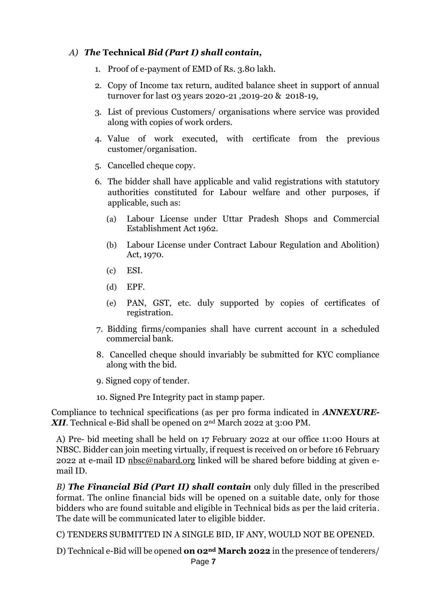# *A) The* **Technical** *Bid (Part I) shall contain,*

- 1. Proof of e-payment of EMD of Rs. 3.80 lakh.
- 2. Copy of Income tax return, audited balance sheet in support of annual turnover for last 03 years 2020-21 ,2019-20 & 2018-19,
- 3. List of previous Customers/ organisations where service was provided along with copies of work orders.
- 4. Value of work executed, with certificate from the previous customer/organisation.
- 5. Cancelled cheque copy.
- 6. The bidder shall have applicable and valid registrations with statutory authorities constituted for Labour welfare and other purposes, if applicable, such as:
	- (a) Labour License under Uttar Pradesh Shops and Commercial Establishment Act 1962.
	- (b) Labour License under Contract Labour Regulation and Abolition) Act, 1970.
	- (c) ESI.
	- (d) EPF.
	- (e) PAN, GST, etc. duly supported by copies of certificates of registration.
- 7. Bidding firms/companies shall have current account in a scheduled commercial bank.
- 8. Cancelled cheque should invariably be submitted for KYC compliance along with the bid.
- 9. Signed copy of tender.
- 10. Signed Pre Integrity pact in stamp paper.

Compliance to technical specifications (as per pro forma indicated in *ANNEXURE-XII*. Technical e-Bid shall be opened on 2nd March 2022 at 3:00 PM.

A) Pre- bid meeting shall be held on 17 February 2022 at our office 11:00 Hours at NBSC. Bidder can join meeting virtually, if request is received on or before 16 February 2022 at e-mail ID [nbsc@nabard.org](mailto:nbsc@nabard.org) linked will be shared before bidding at given email ID.

*B) The Financial Bid (Part II) shall contain* only duly filled in the prescribed format. The online financial bids will be opened on a suitable date, only for those bidders who are found suitable and eligible in Technical bids as per the laid criteria. The date will be communicated later to eligible bidder.

C) TENDERS SUBMITTED IN A SINGLE BID, IF ANY, WOULD NOT BE OPENED.

D) Technical e-Bid will be opened **on 02nd March 2022** in the presence of tenderers/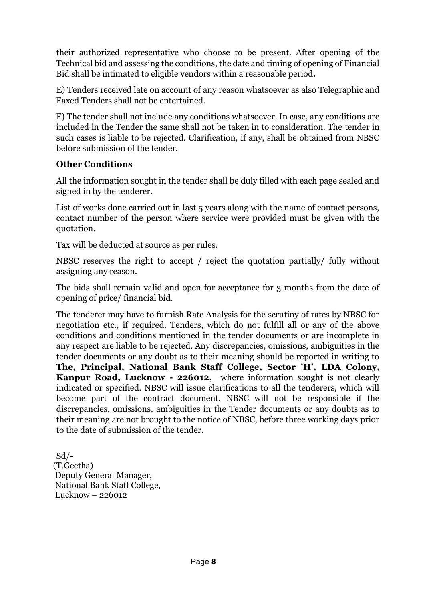their authorized representative who choose to be present. After opening of the Technical bid and assessing the conditions, the date and timing of opening of Financial Bid shall be intimated to eligible vendors within a reasonable period**.**

E) Tenders received late on account of any reason whatsoever as also Telegraphic and Faxed Tenders shall not be entertained.

F) The tender shall not include any conditions whatsoever. In case, any conditions are included in the Tender the same shall not be taken in to consideration. The tender in such cases is liable to be rejected. Clarification, if any, shall be obtained from NBSC before submission of the tender.

# **Other Conditions**

All the information sought in the tender shall be duly filled with each page sealed and signed in by the tenderer.

List of works done carried out in last 5 years along with the name of contact persons, contact number of the person where service were provided must be given with the quotation.

Tax will be deducted at source as per rules.

NBSC reserves the right to accept / reject the quotation partially/ fully without assigning any reason.

The bids shall remain valid and open for acceptance for 3 months from the date of opening of price/ financial bid.

The tenderer may have to furnish Rate Analysis for the scrutiny of rates by NBSC for negotiation etc., if required. Tenders, which do not fulfill all or any of the above conditions and conditions mentioned in the tender documents or are incomplete in any respect are liable to be rejected. Any discrepancies, omissions, ambiguities in the tender documents or any doubt as to their meaning should be reported in writing to **The, Principal, National Bank Staff College, Sector 'H', LDA Colony, Kanpur Road, Lucknow - 226012,** where information sought is not clearly indicated or specified. NBSC will issue clarifications to all the tenderers, which will become part of the contract document. NBSC will not be responsible if the discrepancies, omissions, ambiguities in the Tender documents or any doubts as to their meaning are not brought to the notice of NBSC, before three working days prior to the date of submission of the tender.

 $Sd$  /-(T.Geetha) Deputy General Manager, National Bank Staff College, Lucknow – 226012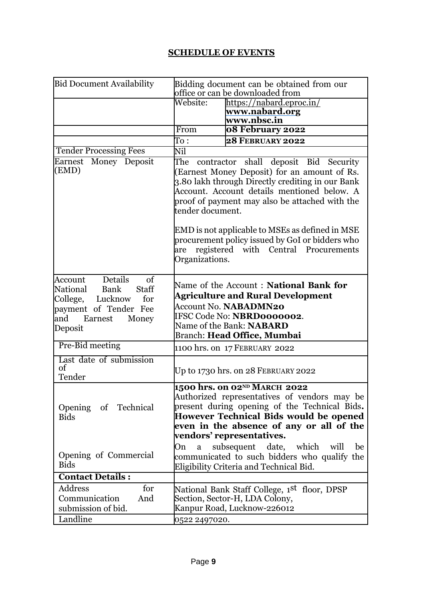# **SCHEDULE OF EVENTS**

| <b>Bid Document Availability</b>                                                                                                                       |                                                                                                                                                                                                                                                                    | Bidding document can be obtained from our<br>office or can be downloaded from                                                                                                                                                                                       |  |
|--------------------------------------------------------------------------------------------------------------------------------------------------------|--------------------------------------------------------------------------------------------------------------------------------------------------------------------------------------------------------------------------------------------------------------------|---------------------------------------------------------------------------------------------------------------------------------------------------------------------------------------------------------------------------------------------------------------------|--|
|                                                                                                                                                        | Website:                                                                                                                                                                                                                                                           | https://nabard.eproc.in/<br>www.nabard.org<br>www.nbsc.in                                                                                                                                                                                                           |  |
|                                                                                                                                                        | From                                                                                                                                                                                                                                                               | 08 February 2022                                                                                                                                                                                                                                                    |  |
|                                                                                                                                                        | To :                                                                                                                                                                                                                                                               | <b>28 FEBRUARY 2022</b>                                                                                                                                                                                                                                             |  |
| <b>Tender Processing Fees</b>                                                                                                                          | Nil                                                                                                                                                                                                                                                                |                                                                                                                                                                                                                                                                     |  |
| Earnest Money Deposit<br>(EMD)                                                                                                                         | The contractor shall deposit Bid Security<br>(Earnest Money Deposit) for an amount of Rs.<br>3.80 lakh through Directly crediting in our Bank<br>Account. Account details mentioned below. A<br>proof of payment may also be attached with the<br>tender document. |                                                                                                                                                                                                                                                                     |  |
|                                                                                                                                                        | are<br>Organizations.                                                                                                                                                                                                                                              | EMD is not applicable to MSEs as defined in MSE<br>procurement policy issued by GoI or bidders who<br>registered with Central Procurements                                                                                                                          |  |
| Details<br>of<br>Account<br>National<br><b>Staff</b><br>Bank<br>College, Lucknow<br>for<br>payment of Tender Fee<br>and<br>Earnest<br>Money<br>Deposit |                                                                                                                                                                                                                                                                    | Name of the Account: National Bank for<br><b>Agriculture and Rural Development</b><br><b>Account No. NABADMN20</b><br>IFSC Code No: NBRD0000002.<br>Name of the Bank: NABARD<br><b>Branch: Head Office, Mumbai</b>                                                  |  |
| Pre-Bid meeting                                                                                                                                        |                                                                                                                                                                                                                                                                    | 1100 hrs. on 17 FEBRUARY 2022                                                                                                                                                                                                                                       |  |
| Last date of submission<br>of<br>Tender                                                                                                                |                                                                                                                                                                                                                                                                    | Up to 1730 hrs. on 28 FEBRUARY 2022                                                                                                                                                                                                                                 |  |
| Opening of Technical<br><b>Bids</b>                                                                                                                    |                                                                                                                                                                                                                                                                    | 1500 hrs. on 02 <sup>nd</sup> MARCH 2022<br>Authorized representatives of vendors may be<br>present during opening of the Technical Bids.<br><b>However Technical Bids would be opened</b><br>even in the absence of any or all of the<br>vendors' representatives. |  |
| Opening of Commercial<br><b>Bids</b>                                                                                                                   | On<br>a                                                                                                                                                                                                                                                            | subsequent<br>date,<br>which<br>will<br>be<br>communicated to such bidders who qualify the<br>Eligibility Criteria and Technical Bid.                                                                                                                               |  |
| <b>Contact Details:</b>                                                                                                                                |                                                                                                                                                                                                                                                                    |                                                                                                                                                                                                                                                                     |  |
| for<br>Address<br>Communication<br>And<br>submission of bid.<br>Landline                                                                               |                                                                                                                                                                                                                                                                    | National Bank Staff College, 1 <sup>st</sup> floor, DPSP<br>Section, Sector-H, LDA Colony,<br>Kanpur Road, Lucknow-226012                                                                                                                                           |  |
|                                                                                                                                                        | 0522 2497020.                                                                                                                                                                                                                                                      |                                                                                                                                                                                                                                                                     |  |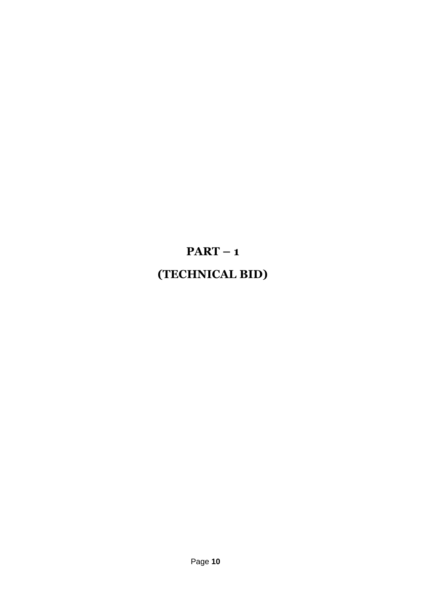# **PART – 1 (TECHNICAL BID)**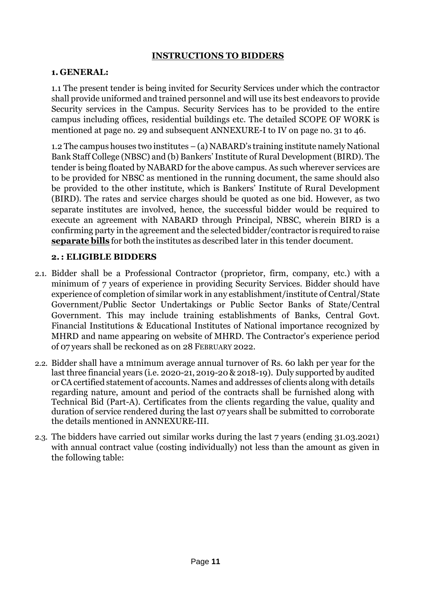#### **INSTRUCTIONS TO BIDDERS**

#### **1. GENERAL:**

1.1 The present tender is being invited for Security Services under which the contractor shall provide uniformed and trained personnel and will use its best endeavors to provide Security services in the Campus. Security Services has to be provided to the entire campus including offices, residential buildings etc. The detailed SCOPE OF WORK is mentioned at page no. 29 and subsequent ANNEXURE-I to IV on page no. 31 to 46.

1.2 The campus houses two institutes – (a) NABARD's training institute namely National Bank Staff College (NBSC) and (b) Bankers' Institute of Rural Development (BIRD). The tender is being floated by NABARD for the above campus. As such wherever services are to be provided for NBSC as mentioned in the running document, the same should also be provided to the other institute, which is Bankers' Institute of Rural Development (BIRD). The rates and service charges should be quoted as one bid. However, as two separate institutes are involved, hence, the successful bidder would be required to execute an agreement with NABARD through Principal, NBSC, wherein BIRD is a confirming party in the agreement and the selected bidder/contractor is requiredto raise **separate bills** for both the institutes as described later in this tender document.

#### **2.: ELIGIBLE BIDDERS**

- 2.1. Bidder shall be a Professional Contractor (proprietor, firm, company, etc.) with a minimum of 7 years of experience in providing Security Services. Bidder should have experience of completion of similar work in any establishment/institute of Central/State Government/Public Sector Undertakings or Public Sector Banks of State/Central Government. This may include training establishments of Banks, Central Govt. Financial Institutions & Educational Institutes of National importance recognized by MHRD and name appearing on website of MHRD. The Contractor's experience period of 07 years shall be reckoned as on 28 FEBRUARY 2022.
- 2.2. Bidder shall have a mInimum average annual turnover of Rs. 60 lakh per year for the last three financial years (i.e. 2020-21, 2019-20 & 2018-19). Duly supported by audited orCAcertified statement of accounts.Names and addresses of clients along with details regarding nature, amount and period of the contracts shall be furnished along with Technical Bid (Part-A). Certificates from the clients regarding the value, quality and duration of service rendered during the last 07 years shall be submitted to corroborate the details mentioned in ANNEXURE-III.
- 2.3. The bidders have carried out similar works during the last 7 years (ending 31.03.2021) with annual contract value (costing individually) not less than the amount as given in the following table: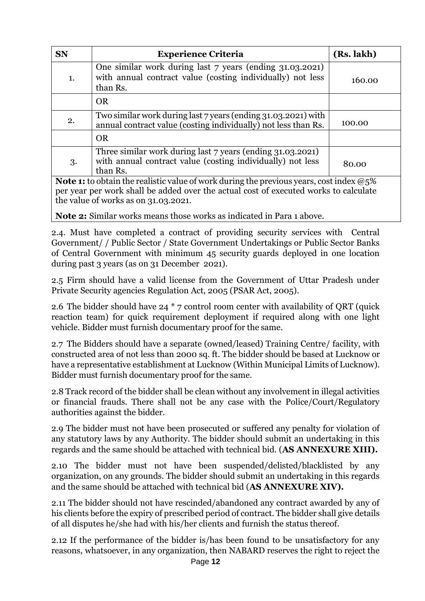| <b>SN</b>                                                                                                                                                                                                                                     | <b>Experience Criteria</b>                                                                                                      | (Rs. lakh) |  |  |  |
|-----------------------------------------------------------------------------------------------------------------------------------------------------------------------------------------------------------------------------------------------|---------------------------------------------------------------------------------------------------------------------------------|------------|--|--|--|
| 1.                                                                                                                                                                                                                                            | One similar work during last 7 years (ending 31.03.2021)<br>with annual contract value (costing individually) not less          | 160.00     |  |  |  |
|                                                                                                                                                                                                                                               | than Rs.<br><b>OR</b>                                                                                                           |            |  |  |  |
| 2.                                                                                                                                                                                                                                            | Two similar work during last 7 years (ending 31.03.2021) with<br>annual contract value (costing individually) not less than Rs. |            |  |  |  |
|                                                                                                                                                                                                                                               |                                                                                                                                 |            |  |  |  |
| 3.                                                                                                                                                                                                                                            | 80.00                                                                                                                           |            |  |  |  |
| than Rs.<br><b>Note 1:</b> to obtain the realistic value of work during the previous years, cost index $@5\%$<br>per year per work shall be added over the actual cost of executed works to calculate<br>the value of works as on 31.03.2021. |                                                                                                                                 |            |  |  |  |

**Note 2:** Similar works means those works as indicated in Para 1 above.

2.4. Must have completed a contract of providing security services with Central Government/ / Public Sector / State Government Undertakings or Public Sector Banks of Central Government with minimum 45 security guards deployed in one location during past 3 years (as on 31 December 2021).

2.5 Firm should have a valid license from the Government of Uttar Pradesh under Private Security agencies Regulation Act, 2005 (PSAR Act, 2005).

2.6 The bidder should have 24 \* 7 control room center with availability of QRT (quick reaction team) for quick requirement deployment if required along with one light vehicle. Bidder must furnish documentary proof for the same.

2.7 The Bidders should have a separate (owned/leased) Training Centre/ facility, with constructed area of not less than 2000 sq. ft. The bidder should be based at Lucknow or have a representative establishment at Lucknow (Within Municipal Limits of Lucknow). Bidder must furnish documentary proof for the same.

2.8 Track record of the bidder shall be clean without any involvement in illegal activities or financial frauds. There shall not be any case with the Police/Court/Regulatory authorities against the bidder.

2.9 The bidder must not have been prosecuted or suffered any penalty for violation of any statutory laws by any Authority. The bidder should submit an undertaking in this regards and the same should be attached with technical bid. (**AS ANNEXURE XIII).**

2.10 The bidder must not have been suspended/delisted/blacklisted by any organization, on any grounds. The bidder should submit an undertaking in this regards and the same should be attached with technical bid (**AS ANNEXURE XIV).**

2.11 The bidder should not have rescinded/abandoned any contract awarded by any of his clients before the expiry of prescribed period of contract. The bidder shall give details of all disputes he/she had with his/her clients and furnish the status thereof.

2.12 If the performance of the bidder is/has been found to be unsatisfactory for any reasons, whatsoever, in any organization, then NABARD reserves the right to reject the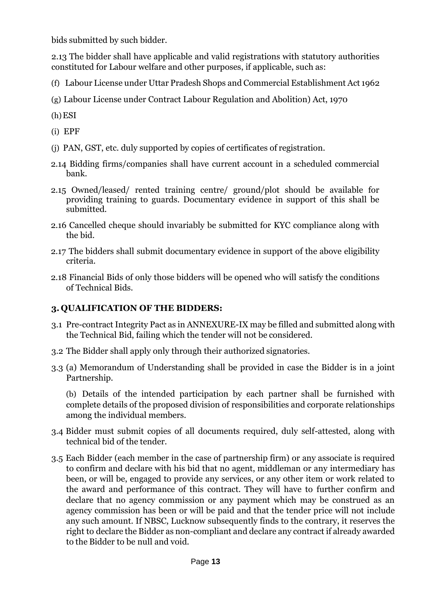bids submitted by such bidder.

2.13 The bidder shall have applicable and valid registrations with statutory authorities constituted for Labour welfare and other purposes, if applicable, such as:

(f) Labour License under Uttar Pradesh Shops and Commercial Establishment Act 1962

- (g) Labour License under Contract Labour Regulation and Abolition) Act, 1970
- (h)ESI
- (i) EPF
- (j) PAN, GST, etc. duly supported by copies of certificates of registration.
- 2.14 Bidding firms/companies shall have current account in a scheduled commercial bank.
- 2.15 Owned/leased/ rented training centre/ ground/plot should be available for providing training to guards. Documentary evidence in support of this shall be submitted.
- 2.16 Cancelled cheque should invariably be submitted for KYC compliance along with the bid.
- 2.17 The bidders shall submit documentary evidence in support of the above eligibility criteria.
- 2.18 Financial Bids of only those bidders will be opened who will satisfy the conditions of Technical Bids.

# **3. QUALIFICATION OF THE BIDDERS:**

- 3.1 Pre-contract Integrity Pact as in ANNEXURE-IX may be filled and submitted along with the Technical Bid, failing which the tender will not be considered.
- 3.2 The Bidder shall apply only through their authorized signatories.
- 3.3 (a) Memorandum of Understanding shall be provided in case the Bidder is in a joint Partnership.

(b) Details of the intended participation by each partner shall be furnished with complete details of the proposed division of responsibilities and corporate relationships among the individual members.

- 3.4 Bidder must submit copies of all documents required, duly self-attested, along with technical bid of the tender.
- 3.5 Each Bidder (each member in the case of partnership firm) or any associate is required to confirm and declare with his bid that no agent, middleman or any intermediary has been, or will be, engaged to provide any services, or any other item or work related to the award and performance of this contract. They will have to further confirm and declare that no agency commission or any payment which may be construed as an agency commission has been or will be paid and that the tender price will not include any such amount. If NBSC, Lucknow subsequently finds to the contrary, it reserves the right to declare the Bidder as non-compliant and declare any contract if already awarded to the Bidder to be null and void.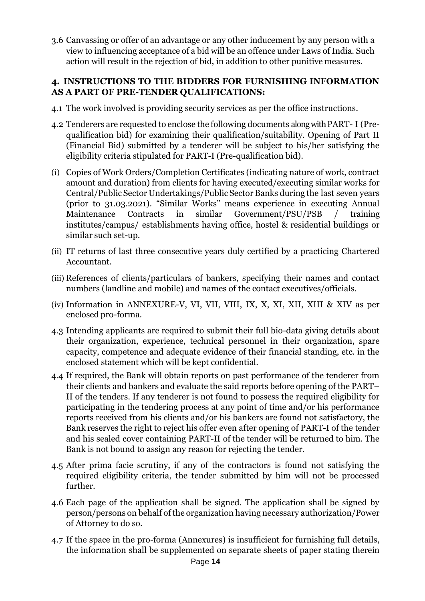3.6 Canvassing or offer of an advantage or any other inducement by any person with a view to influencing acceptance of a bid will be an offence under Laws of India. Such action will result in the rejection of bid, in addition to other punitive measures.

#### **4. INSTRUCTIONS TO THE BIDDERS FOR FURNISHING INFORMATION AS A PART OF PRE-TENDER QUALIFICATIONS:**

- 4.1 The work involved is providing security services as per the office instructions.
- 4.2 Tenderers are requested to enclose the following documents along withPART- I (Prequalification bid) for examining their qualification/suitability. Opening of Part II (Financial Bid) submitted by a tenderer will be subject to his/her satisfying the eligibility criteria stipulated for PART-I (Pre-qualification bid).
- (i) Copies of Work Orders/Completion Certificates (indicating nature of work, contract amount and duration) from clients for having executed/executing similar works for Central/Public Sector Undertakings/Public Sector Banks during the last seven years (prior to 31.03.2021). "Similar Works" means experience in executing Annual Maintenance Contracts in similar Government/PSU/PSB / training institutes/campus/ establishments having office, hostel & residential buildings or similar such set-up.
- (ii) IT returns of last three consecutive years duly certified by a practicing Chartered Accountant.
- (iii) References of clients/particulars of bankers, specifying their names and contact numbers (landline and mobile) and names of the contact executives/officials.
- (iv) Information in ANNEXURE-V, VI, VII, VIII, IX, X, XI, XII, XIII & XIV as per enclosed pro-forma.
- 4.3 Intending applicants are required to submit their full bio-data giving details about their organization, experience, technical personnel in their organization, spare capacity, competence and adequate evidence of their financial standing, etc. in the enclosed statement which will be kept confidential.
- 4.4 If required, the Bank will obtain reports on past performance of the tenderer from their clients and bankers and evaluate the said reports before opening of the PART– II of the tenders. If any tenderer is not found to possess the required eligibility for participating in the tendering process at any point of time and/or his performance reports received from his clients and/or his bankers are found not satisfactory, the Bank reserves the right to reject his offer even after opening of PART-I of the tender and his sealed cover containing PART-II of the tender will be returned to him. The Bank is not bound to assign any reason for rejecting the tender.
- 4.5 After prima facie scrutiny, if any of the contractors is found not satisfying the required eligibility criteria, the tender submitted by him will not be processed further.
- 4.6 Each page of the application shall be signed. The application shall be signed by person/persons on behalf of the organization having necessary authorization/Power of Attorney to do so.
- 4.7 If the space in the pro-forma (Annexures) is insufficient for furnishing full details, the information shall be supplemented on separate sheets of paper stating therein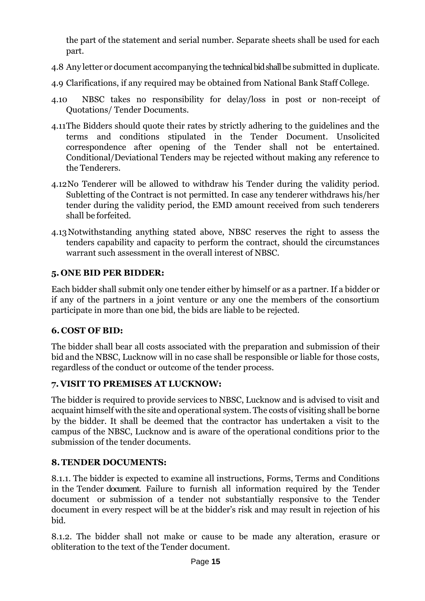the part of the statement and serial number. Separate sheets shall be used for each part.

- 4.8 Any letter or document accompanying the technical bid shall be submitted in duplicate.
- 4.9 Clarifications, if any required may be obtained from National Bank Staff College.
- 4.10 NBSC takes no responsibility for delay/loss in post or non-receipt of Quotations/ Tender Documents.
- 4.11The Bidders should quote their rates by strictly adhering to the guidelines and the terms and conditions stipulated in the Tender Document. Unsolicited correspondence after opening of the Tender shall not be entertained. Conditional/Deviational Tenders may be rejected without making any reference to the Tenderers.
- 4.12No Tenderer will be allowed to withdraw his Tender during the validity period. Subletting of the Contract is not permitted. In case any tenderer withdraws his/her tender during the validity period, the EMD amount received from such tenderers shall be forfeited.
- 4.13Notwithstanding anything stated above, NBSC reserves the right to assess the tenders capability and capacity to perform the contract, should the circumstances warrant such assessment in the overall interest of NBSC.

# **5. ONE BID PER BIDDER:**

Each bidder shall submit only one tender either by himself or as a partner. If a bidder or if any of the partners in a joint venture or any one the members of the consortium participate in more than one bid, the bids are liable to be rejected.

# **6. COST OF BID:**

The bidder shall bear all costs associated with the preparation and submission of their bid and the NBSC, Lucknow will in no case shall be responsible or liable for those costs, regardless of the conduct or outcome of the tender process.

# **7. VISIT TO PREMISES AT LUCKNOW:**

The bidder is required to provide services to NBSC, Lucknow and is advised to visit and acquaint himself with the site and operational system. The costs of visiting shall be borne by the bidder. It shall be deemed that the contractor has undertaken a visit to the campus of the NBSC, Lucknow and is aware of the operational conditions prior to the submission of the tender documents.

# **8.TENDER DOCUMENTS:**

8.1.1. The bidder is expected to examine all instructions, Forms, Terms and Conditions in the Tender document. Failure to furnish all information required by the Tender document or submission of a tender not substantially responsive to the Tender document in every respect will be at the bidder's risk and may result in rejection of his bid.

8.1.2. The bidder shall not make or cause to be made any alteration, erasure or obliteration to the text of the Tender document.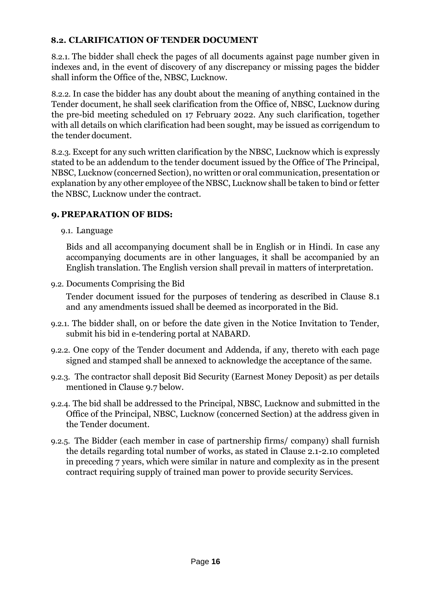# **8.2. CLARIFICATION OF TENDER DOCUMENT**

8.2.1. The bidder shall check the pages of all documents against page number given in indexes and, in the event of discovery of any discrepancy or missing pages the bidder shall inform the Office of the, NBSC, Lucknow.

8.2.2. In case the bidder has any doubt about the meaning of anything contained in the Tender document, he shall seek clarification from the Office of, NBSC, Lucknow during the pre-bid meeting scheduled on 17 February 2022. Any such clarification, together with all details on which clarification had been sought, may be issued as corrigendum to the tender document.

8.2.3. Except for any such written clarification by the NBSC, Lucknow which is expressly stated to be an addendum to the tender document issued by the Office of The Principal, NBSC, Lucknow (concerned Section), no written or oral communication, presentation or explanation by any other employee of the NBSC, Lucknow shall be taken to bind or fetter the NBSC, Lucknow under the contract.

# **9. PREPARATION OF BIDS:**

9.1. Language

Bids and all accompanying document shall be in English or in Hindi. In case any accompanying documents are in other languages, it shall be accompanied by an English translation. The English version shall prevail in matters of interpretation.

9.2. Documents Comprising the Bid

Tender document issued for the purposes of tendering as described in Clause 8.1 and any amendments issued shall be deemed as incorporated in the Bid.

- 9.2.1. The bidder shall, on or before the date given in the Notice Invitation to Tender, submit his bid in e-tendering portal at NABARD.
- 9.2.2. One copy of the Tender document and Addenda, if any, thereto with each page signed and stamped shall be annexed to acknowledge the acceptance of the same.
- 9.2.3. The contractor shall deposit Bid Security (Earnest Money Deposit) as per details mentioned in Clause 9.7 below.
- 9.2.4. The bid shall be addressed to the Principal, NBSC, Lucknow and submitted in the Office of the Principal, NBSC, Lucknow (concerned Section) at the address given in the Tender document.
- 9.2.5. The Bidder (each member in case of partnership firms/ company) shall furnish the details regarding total number of works, as stated in Clause 2.1-2.10 completed in preceding 7 years, which were similar in nature and complexity as in the present contract requiring supply of trained man power to provide security Services.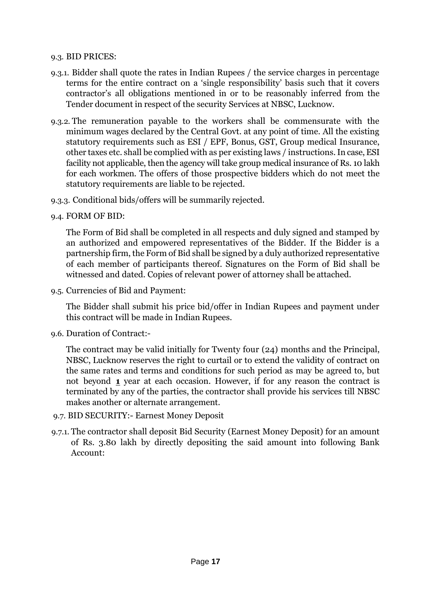#### 9.3. BID PRICES:

- 9.3.1. Bidder shall quote the rates in Indian Rupees / the service charges in percentage terms for the entire contract on a 'single responsibility' basis such that it covers contractor's all obligations mentioned in or to be reasonably inferred from the Tender document in respect of the security Services at NBSC, Lucknow.
- 9.3.2. The remuneration payable to the workers shall be commensurate with the minimum wages declared by the Central Govt. at any point of time. All the existing statutory requirements such as ESI / EPF, Bonus, GST, Group medical Insurance, other taxes etc. shall be complied with as per existing laws / instructions.In case, ESI facility not applicable, then the agency will take group medical insurance of Rs. 10 lakh for each workmen. The offers of those prospective bidders which do not meet the statutory requirements are liable to be rejected.
- 9.3.3. Conditional bids/offers will be summarily rejected.
- 9.4. FORM OF BID:

The Form of Bid shall be completed in all respects and duly signed and stamped by an authorized and empowered representatives of the Bidder. If the Bidder is a partnership firm, the Form of Bid shall be signed by a duly authorized representative of each member of participants thereof. Signatures on the Form of Bid shall be witnessed and dated. Copies of relevant power of attorney shall be attached.

9.5. Currencies of Bid and Payment:

The Bidder shall submit his price bid/offer in Indian Rupees and payment under this contract will be made in Indian Rupees.

9.6. Duration of Contract:-

The contract may be valid initially for Twenty four (24) months and the Principal, NBSC, Lucknow reserves the right to curtail or to extend the validity of contract on the same rates and terms and conditions for such period as may be agreed to, but not beyond **1** year at each occasion. However, if for any reason the contract is terminated by any of the parties, the contractor shall provide his services till NBSC makes another or alternate arrangement.

- 9.7. BID SECURITY:- Earnest Money Deposit
- 9.7.1. The contractor shall deposit Bid Security (Earnest Money Deposit) for an amount of Rs. 3.80 lakh by directly depositing the said amount into following Bank Account: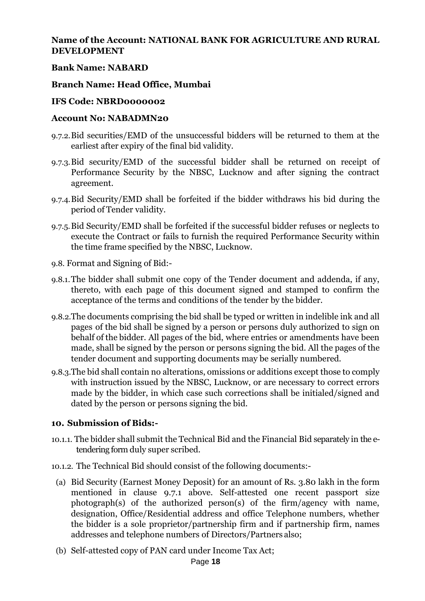#### **Name of the Account: NATIONAL BANK FOR AGRICULTURE AND RURAL DEVELOPMENT**

#### **Bank Name: NABARD**

#### **Branch Name: Head Office, Mumbai**

#### **IFS Code: NBRD0000002**

#### **Account No: NABADMN20**

- 9.7.2.Bid securities/EMD of the unsuccessful bidders will be returned to them at the earliest after expiry of the final bid validity.
- 9.7.3.Bid security/EMD of the successful bidder shall be returned on receipt of Performance Security by the NBSC, Lucknow and after signing the contract agreement.
- 9.7.4.Bid Security/EMD shall be forfeited if the bidder withdraws his bid during the period of Tender validity.
- 9.7.5.Bid Security/EMD shall be forfeited if the successful bidder refuses or neglects to execute the Contract or fails to furnish the required Performance Security within the time frame specified by the NBSC, Lucknow.
- 9.8. Format and Signing of Bid:-
- 9.8.1.The bidder shall submit one copy of the Tender document and addenda, if any, thereto, with each page of this document signed and stamped to confirm the acceptance of the terms and conditions of the tender by the bidder.
- 9.8.2.The documents comprising the bid shall be typed or written in indelible ink and all pages of the bid shall be signed by a person or persons duly authorized to sign on behalf of the bidder. All pages of the bid, where entries or amendments have been made, shall be signed by the person or persons signing the bid. All the pages of the tender document and supporting documents may be serially numbered.
- 9.8.3.The bid shall contain no alterations, omissions or additions except those to comply with instruction issued by the NBSC, Lucknow, or are necessary to correct errors made by the bidder, in which case such corrections shall be initialed/signed and dated by the person or persons signing the bid.

#### **10. Submission of Bids:-**

- 10.1.1. The bidder shall submit the Technical Bid and the Financial Bid separately in the etendering form duly super scribed.
- 10.1.2. The Technical Bid should consist of the following documents:-
	- (a) Bid Security (Earnest Money Deposit) for an amount of Rs. 3.80 lakh in the form mentioned in clause 9.7.1 above. Self-attested one recent passport size photograph(s) of the authorized person(s) of the firm/agency with name, designation, Office/Residential address and office Telephone numbers, whether the bidder is a sole proprietor/partnership firm and if partnership firm, names addresses and telephone numbers of Directors/Partners also;
	- (b) Self-attested copy of PAN card under Income Tax Act;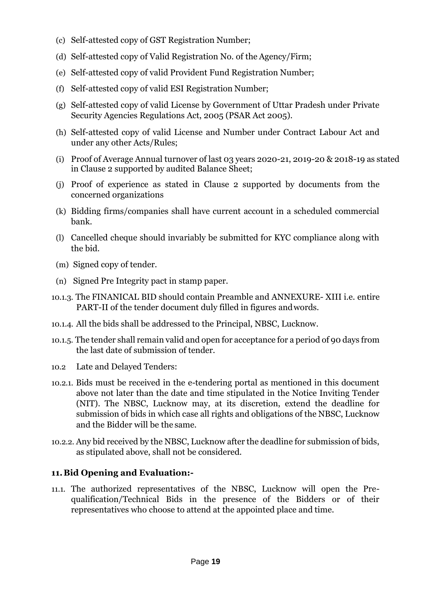- (c) Self-attested copy of GST Registration Number;
- (d) Self-attested copy of Valid Registration No. of the Agency/Firm;
- (e) Self-attested copy of valid Provident Fund Registration Number;
- (f) Self-attested copy of valid ESI Registration Number;
- (g) Self-attested copy of valid License by Government of Uttar Pradesh under Private Security Agencies Regulations Act, 2005 (PSAR Act 2005).
- (h) Self-attested copy of valid License and Number under Contract Labour Act and under any other Acts/Rules;
- (i) Proof of Average Annual turnover of last 03 years 2020-21, 2019-20 & 2018-19 as stated in Clause 2 supported by audited Balance Sheet;
- (j) Proof of experience as stated in Clause 2 supported by documents from the concerned organizations
- (k) Bidding firms/companies shall have current account in a scheduled commercial bank.
- (l) Cancelled cheque should invariably be submitted for KYC compliance along with the bid.
- (m) Signed copy of tender.
- (n) Signed Pre Integrity pact in stamp paper.
- 10.1.3. The FINANICAL BID should contain Preamble and ANNEXURE- XIII i.e. entire PART-II of the tender document duly filled in figures andwords.
- 10.1.4. All the bids shall be addressed to the Principal, NBSC, Lucknow.
- 10.1.5. The tender shall remain valid and open for acceptance for a period of 90 days from the last date of submission of tender.
- 10.2 Late and Delayed Tenders:
- 10.2.1. Bids must be received in the e-tendering portal as mentioned in this document above not later than the date and time stipulated in the Notice Inviting Tender (NIT). The NBSC, Lucknow may, at its discretion, extend the deadline for submission of bids in which case all rights and obligations of the NBSC, Lucknow and the Bidder will be the same.
- 10.2.2. Any bid received by the NBSC, Lucknow after the deadline for submission of bids, as stipulated above, shall not be considered.

#### **11.Bid Opening and Evaluation:-**

11.1. The authorized representatives of the NBSC, Lucknow will open the Prequalification/Technical Bids in the presence of the Bidders or of their representatives who choose to attend at the appointed place and time.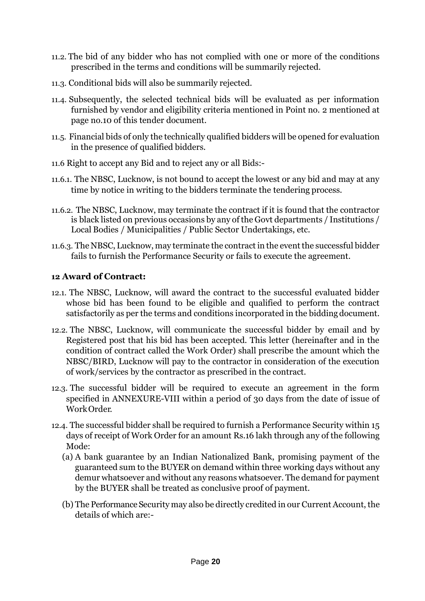- 11.2. The bid of any bidder who has not complied with one or more of the conditions prescribed in the terms and conditions will be summarily rejected.
- 11.3. Conditional bids will also be summarily rejected.
- 11.4. Subsequently, the selected technical bids will be evaluated as per information furnished by vendor and eligibility criteria mentioned in Point no. 2 mentioned at page no.10 of this tender document.
- 11.5. Financial bids of only the technically qualified bidders will be opened for evaluation in the presence of qualified bidders.
- 11.6 Right to accept any Bid and to reject any or all Bids:-
- 11.6.1. The NBSC, Lucknow, is not bound to accept the lowest or any bid and may at any time by notice in writing to the bidders terminate the tendering process.
- 11.6.2. The NBSC, Lucknow, may terminate the contract if it is found that the contractor is black listed on previous occasions by any of the Govt departments / Institutions / Local Bodies / Municipalities / Public Sector Undertakings, etc.
- 11.6.3. The NBSC, Lucknow, may terminate the contract in the event the successful bidder fails to furnish the Performance Security or fails to execute the agreement.

#### **12 Award of Contract:**

- 12.1. The NBSC, Lucknow, will award the contract to the successful evaluated bidder whose bid has been found to be eligible and qualified to perform the contract satisfactorily as per the terms and conditions incorporated in the bidding document.
- 12.2. The NBSC, Lucknow, will communicate the successful bidder by email and by Registered post that his bid has been accepted. This letter (hereinafter and in the condition of contract called the Work Order) shall prescribe the amount which the NBSC/BIRD, Lucknow will pay to the contractor in consideration of the execution of work/services by the contractor as prescribed in the contract.
- 12.3. The successful bidder will be required to execute an agreement in the form specified in ANNEXURE-VIII within a period of 30 days from the date of issue of Work Order.
- 12.4. The successful bidder shall be required to furnish a Performance Security within 15 days of receipt of Work Order for an amount Rs.16 lakh through any of the following Mode:
	- (a) A bank guarantee by an Indian Nationalized Bank, promising payment of the guaranteed sum to the BUYER on demand within three working days without any demur whatsoever and without any reasons whatsoever. The demand for payment by the BUYER shall be treated as conclusive proof of payment.
	- (b) The Performance Security may also be directly credited in our Current Account, the details of which are:-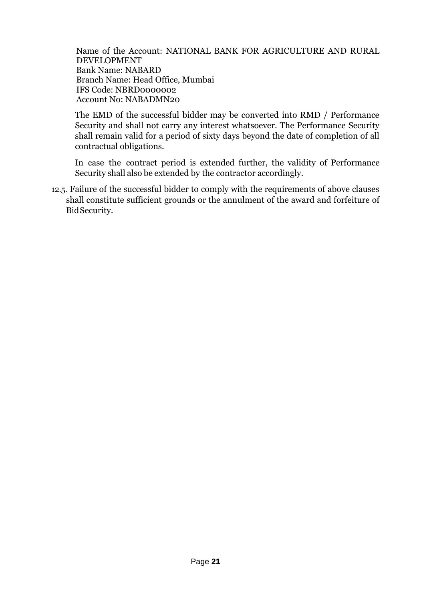Name of the Account: NATIONAL BANK FOR AGRICULTURE AND RURAL DEVELOPMENT Bank Name: NABARD Branch Name: Head Office, Mumbai IFS Code: NBRD0000002 Account No: NABADMN20

The EMD of the successful bidder may be converted into RMD / Performance Security and shall not carry any interest whatsoever. The Performance Security shall remain valid for a period of sixty days beyond the date of completion of all contractual obligations.

In case the contract period is extended further, the validity of Performance Security shall also be extended by the contractor accordingly.

12.5. Failure of the successful bidder to comply with the requirements of above clauses shall constitute sufficient grounds or the annulment of the award and forfeiture of BidSecurity.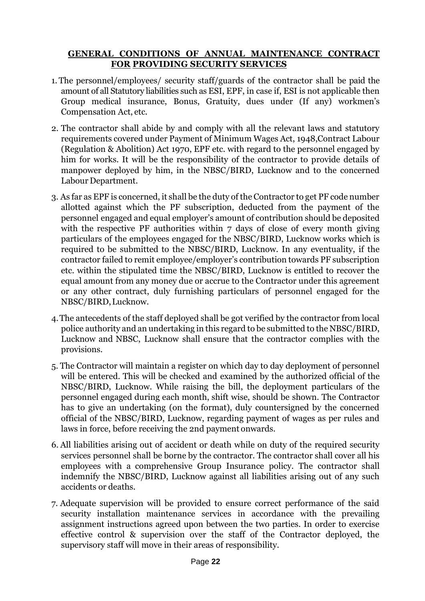#### **GENERAL CONDITIONS OF ANNUAL MAINTENANCE CONTRACT FOR PROVIDING SECURITY SERVICES**

- 1. The personnel/employees/ security staff/guards of the contractor shall be paid the amount of all Statutory liabilities such as ESI, EPF, in case if, ESI is not applicable then Group medical insurance, Bonus, Gratuity, dues under (If any) workmen's Compensation Act, etc.
- 2. The contractor shall abide by and comply with all the relevant laws and statutory requirements covered under Payment of Minimum Wages Act, 1948,Contract Labour (Regulation & Abolition) Act 1970, EPF etc. with regard to the personnel engaged by him for works. It will be the responsibility of the contractor to provide details of manpower deployed by him, in the NBSC/BIRD, Lucknow and to the concerned Labour Department.
- 3. As far as EPF is concerned, it shall be the duty of the Contractor to get PF code number allotted against which the PF subscription, deducted from the payment of the personnel engaged and equal employer's amount of contribution should be deposited with the respective PF authorities within 7 days of close of every month giving particulars of the employees engaged for the NBSC/BIRD, Lucknow works which is required to be submitted to the NBSC/BIRD, Lucknow. In any eventuality, if the contractor failed to remit employee/employer's contribution towards PF subscription etc. within the stipulated time the NBSC/BIRD, Lucknow is entitled to recover the equal amount from any money due or accrue to the Contractor under this agreement or any other contract, duly furnishing particulars of personnel engaged for the NBSC/BIRD,Lucknow.
- 4.The antecedents of the staff deployed shall be got verified by the contractor from local police authority and an undertaking in this regard to be submitted to the NBSC/BIRD, Lucknow and NBSC, Lucknow shall ensure that the contractor complies with the provisions.
- 5. The Contractor will maintain a register on which day to day deployment of personnel will be entered. This will be checked and examined by the authorized official of the NBSC/BIRD, Lucknow. While raising the bill, the deployment particulars of the personnel engaged during each month, shift wise, should be shown. The Contractor has to give an undertaking (on the format), duly countersigned by the concerned official of the NBSC/BIRD, Lucknow, regarding payment of wages as per rules and laws in force, before receiving the 2nd payment onwards.
- 6. All liabilities arising out of accident or death while on duty of the required security services personnel shall be borne by the contractor. The contractor shall cover all his employees with a comprehensive Group Insurance policy. The contractor shall indemnify the NBSC/BIRD, Lucknow against all liabilities arising out of any such accidents or deaths.
- 7. Adequate supervision will be provided to ensure correct performance of the said security installation maintenance services in accordance with the prevailing assignment instructions agreed upon between the two parties. In order to exercise effective control & supervision over the staff of the Contractor deployed, the supervisory staff will move in their areas of responsibility.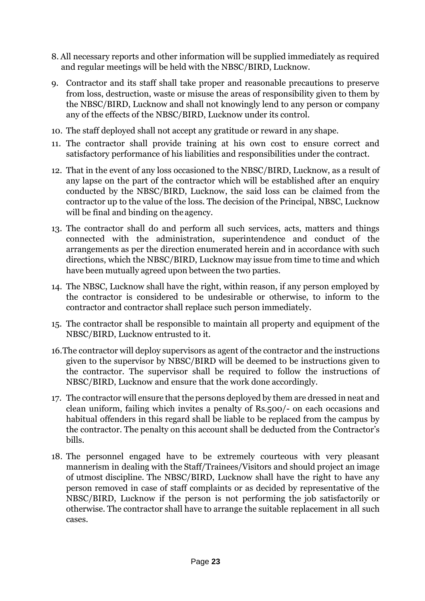- 8. All necessary reports and other information will be supplied immediately as required and regular meetings will be held with the NBSC/BIRD, Lucknow.
- 9. Contractor and its staff shall take proper and reasonable precautions to preserve from loss, destruction, waste or misuse the areas of responsibility given to them by the NBSC/BIRD, Lucknow and shall not knowingly lend to any person or company any of the effects of the NBSC/BIRD, Lucknow under its control.
- 10. The staff deployed shall not accept any gratitude or reward in any shape.
- 11. The contractor shall provide training at his own cost to ensure correct and satisfactory performance of his liabilities and responsibilities under the contract.
- 12. That in the event of any loss occasioned to the NBSC/BIRD, Lucknow, as a result of any lapse on the part of the contractor which will be established after an enquiry conducted by the NBSC/BIRD, Lucknow, the said loss can be claimed from the contractor up to the value of the loss. The decision of the Principal, NBSC, Lucknow will be final and binding on the agency.
- 13. The contractor shall do and perform all such services, acts, matters and things connected with the administration, superintendence and conduct of the arrangements as per the direction enumerated herein and in accordance with such directions, which the NBSC/BIRD, Lucknow may issue from time to time and which have been mutually agreed upon between the two parties.
- 14. The NBSC, Lucknow shall have the right, within reason, if any person employed by the contractor is considered to be undesirable or otherwise, to inform to the contractor and contractor shall replace such person immediately.
- 15. The contractor shall be responsible to maintain all property and equipment of the NBSC/BIRD, Lucknow entrusted to it.
- 16.The contractor will deploy supervisors as agent of the contractor and the instructions given to the supervisor by NBSC/BIRD will be deemed to be instructions given to the contractor. The supervisor shall be required to follow the instructions of NBSC/BIRD, Lucknow and ensure that the work done accordingly.
- 17. The contractor will ensure that the persons deployed by them are dressed in neat and clean uniform, failing which invites a penalty of Rs.500/- on each occasions and habitual offenders in this regard shall be liable to be replaced from the campus by the contractor. The penalty on this account shall be deducted from the Contractor's bills.
- 18. The personnel engaged have to be extremely courteous with very pleasant mannerism in dealing with the Staff/Trainees/Visitors and should project an image of utmost discipline. The NBSC/BIRD, Lucknow shall have the right to have any person removed in case of staff complaints or as decided by representative of the NBSC/BIRD, Lucknow if the person is not performing the job satisfactorily or otherwise. The contractor shall have to arrange the suitable replacement in all such cases.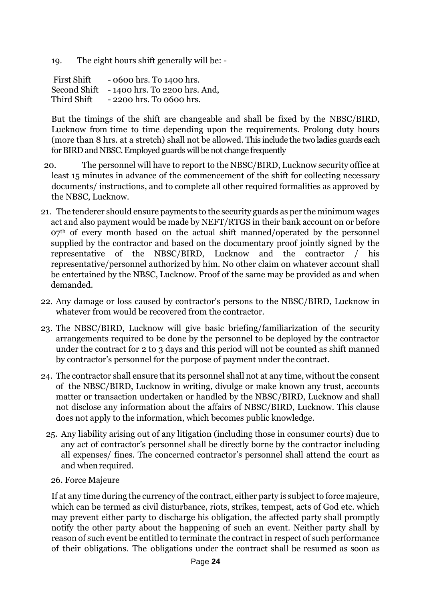19. The eight hours shift generally will be: -

First Shift - 0600 hrs. To 1400 hrs.<br>Second Shift - 1400 hrs. To 2200 hrs. Second Shift - 1400 hrs. To 2200 hrs. And,<br>Third Shift - 2200 hrs. To 0600 hrs.  $-2200$  hrs. To 0600 hrs.

But the timings of the shift are changeable and shall be fixed by the NBSC/BIRD, Lucknow from time to time depending upon the requirements. Prolong duty hours (more than 8 hrs. at a stretch) shall not be allowed. This include the two ladies guards each for BIRD and NBSC. Employed guards will be not change frequently

- 20. The personnel will have to report to the NBSC/BIRD, Lucknow security office at least 15 minutes in advance of the commencement of the shift for collecting necessary documents/ instructions, and to complete all other required formalities as approved by the NBSC, Lucknow.
- 21. The tenderer should ensure payments to the security guards as per the minimum wages act and also payment would be made by NEFT/RTGS in their bank account on or before 07<sup>th</sup> of every month based on the actual shift manned/operated by the personnel supplied by the contractor and based on the documentary proof jointly signed by the representative of the NBSC/BIRD, Lucknow and the contractor / his representative/personnel authorized by him. No other claim on whatever account shall be entertained by the NBSC, Lucknow. Proof of the same may be provided as and when demanded.
- 22. Any damage or loss caused by contractor's persons to the NBSC/BIRD, Lucknow in whatever from would be recovered from the contractor.
- 23. The NBSC/BIRD, Lucknow will give basic briefing/familiarization of the security arrangements required to be done by the personnel to be deployed by the contractor under the contract for 2 to 3 days and this period will not be counted as shift manned by contractor's personnel for the purpose of payment under the contract.
- 24. The contractor shall ensure that its personnel shall not at any time, without the consent of the NBSC/BIRD, Lucknow in writing, divulge or make known any trust, accounts matter or transaction undertaken or handled by the NBSC/BIRD, Lucknow and shall not disclose any information about the affairs of NBSC/BIRD, Lucknow. This clause does not apply to the information, which becomes public knowledge.
	- 25. Any liability arising out of any litigation (including those in consumer courts) due to any act of contractor's personnel shall be directly borne by the contractor including all expenses/ fines. The concerned contractor's personnel shall attend the court as and when required.
		- 26. Force Majeure

If at any time during the currency of the contract, either party is subject to force majeure, which can be termed as civil disturbance, riots, strikes, tempest, acts of God etc. which may prevent either party to discharge his obligation, the affected party shall promptly notify the other party about the happening of such an event. Neither party shall by reason of such event be entitled to terminate the contract in respect of such performance of their obligations. The obligations under the contract shall be resumed as soon as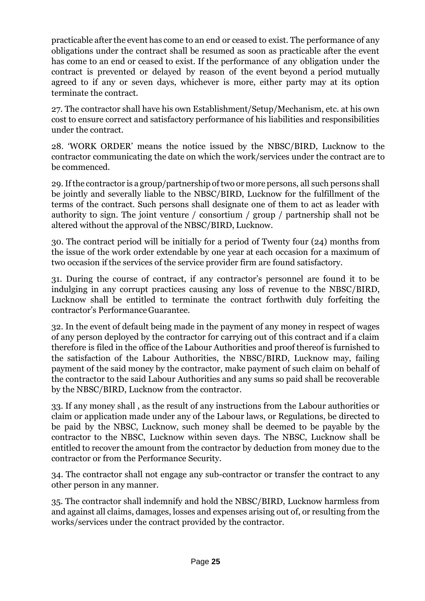practicable after the event has come to an end or ceased to exist. The performance of any obligations under the contract shall be resumed as soon as practicable after the event has come to an end or ceased to exist. If the performance of any obligation under the contract is prevented or delayed by reason of the event beyond a period mutually agreed to if any or seven days, whichever is more, either party may at its option terminate the contract.

27. The contractor shall have his own Establishment/Setup/Mechanism, etc. at his own cost to ensure correct and satisfactory performance of his liabilities and responsibilities under the contract.

28. 'WORK ORDER' means the notice issued by the NBSC/BIRD, Lucknow to the contractor communicating the date on which the work/services under the contract are to be commenced.

29. Ifthe contractor is a group/partnership oftwo or more persons, all such persons shall be jointly and severally liable to the NBSC/BIRD, Lucknow for the fulfillment of the terms of the contract. Such persons shall designate one of them to act as leader with authority to sign. The joint venture / consortium / group / partnership shall not be altered without the approval of the NBSC/BIRD, Lucknow.

30. The contract period will be initially for a period of Twenty four (24) months from the issue of the work order extendable by one year at each occasion for a maximum of two occasion if the services of the service provider firm are found satisfactory.

31. During the course of contract, if any contractor's personnel are found it to be indulging in any corrupt practices causing any loss of revenue to the NBSC/BIRD, Lucknow shall be entitled to terminate the contract forthwith duly forfeiting the contractor's PerformanceGuarantee.

32. In the event of default being made in the payment of any money in respect of wages of any person deployed by the contractor for carrying out of this contract and if a claim therefore is filed in the office of the Labour Authorities and proof thereof is furnished to the satisfaction of the Labour Authorities, the NBSC/BIRD, Lucknow may, failing payment of the said money by the contractor, make payment of such claim on behalf of the contractor to the said Labour Authorities and any sums so paid shall be recoverable by the NBSC/BIRD, Lucknow from the contractor.

33. If any money shall , as the result of any instructions from the Labour authorities or claim or application made under any of the Labour laws, or Regulations, be directed to be paid by the NBSC, Lucknow, such money shall be deemed to be payable by the contractor to the NBSC, Lucknow within seven days. The NBSC, Lucknow shall be entitled to recover the amount from the contractor by deduction from money due to the contractor or from the Performance Security.

34. The contractor shall not engage any sub-contractor or transfer the contract to any other person in any manner.

35. The contractor shall indemnify and hold the NBSC/BIRD, Lucknow harmless from and against all claims, damages, losses and expenses arising out of, or resulting from the works/services under the contract provided by the contractor.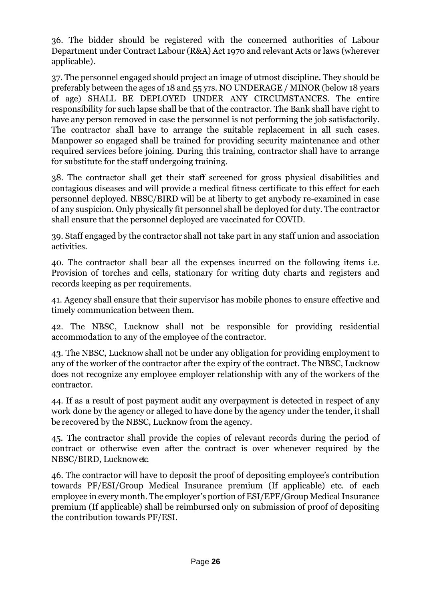36. The bidder should be registered with the concerned authorities of Labour Department under Contract Labour (R&A) Act 1970 and relevant Acts or laws (wherever applicable).

37. The personnel engaged should project an image of utmost discipline. They should be preferably between the ages of 18 and 55 yrs. NO UNDERAGE / MINOR (below 18 years of age) SHALL BE DEPLOYED UNDER ANY CIRCUMSTANCES. The entire responsibility for such lapse shall be that of the contractor. The Bank shall have right to have any person removed in case the personnel is not performing the job satisfactorily. The contractor shall have to arrange the suitable replacement in all such cases. Manpower so engaged shall be trained for providing security maintenance and other required services before joining. During this training, contractor shall have to arrange for substitute for the staff undergoing training.

38. The contractor shall get their staff screened for gross physical disabilities and contagious diseases and will provide a medical fitness certificate to this effect for each personnel deployed. NBSC/BIRD will be at liberty to get anybody re-examined in case of any suspicion. Only physically fit personnel shall be deployed for duty. The contractor shall ensure that the personnel deployed are vaccinated for COVID.

39. Staff engaged by the contractor shall not take part in any staff union and association activities.

40. The contractor shall bear all the expenses incurred on the following items i.e. Provision of torches and cells, stationary for writing duty charts and registers and records keeping as per requirements.

41. Agency shall ensure that their supervisor has mobile phones to ensure effective and timely communication between them.

42. The NBSC, Lucknow shall not be responsible for providing residential accommodation to any of the employee of the contractor.

43. The NBSC, Lucknow shall not be under any obligation for providing employment to any of the worker of the contractor after the expiry of the contract. The NBSC, Lucknow does not recognize any employee employer relationship with any of the workers of the contractor.

44. If as a result of post payment audit any overpayment is detected in respect of any work done by the agency or alleged to have done by the agency under the tender, it shall be recovered by the NBSC, Lucknow from the agency.

45. The contractor shall provide the copies of relevant records during the period of contract or otherwise even after the contract is over whenever required by the NBSC/BIRD, Lucknowetc.

46. The contractor will have to deposit the proof of depositing employee's contribution towards PF/ESI/Group Medical Insurance premium (If applicable) etc. of each employee in every month. The employer's portion of ESI/EPF/Group Medical Insurance premium (If applicable) shall be reimbursed only on submission of proof of depositing the contribution towards PF/ESI.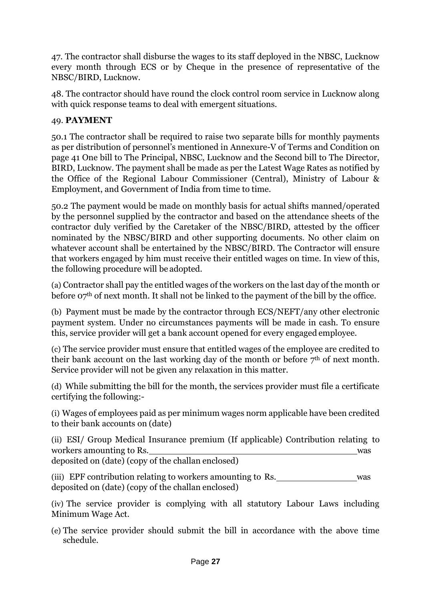47. The contractor shall disburse the wages to its staff deployed in the NBSC, Lucknow every month through ECS or by Cheque in the presence of representative of the NBSC/BIRD, Lucknow.

48. The contractor should have round the clock control room service in Lucknow along with quick response teams to deal with emergent situations.

# 49. **PAYMENT**

50.1 The contractor shall be required to raise two separate bills for monthly payments as per distribution of personnel's mentioned in Annexure-V of Terms and Condition on page 41 One bill to The Principal, NBSC, Lucknow and the Second bill to The Director, BIRD, Lucknow. The payment shall be made as per the Latest Wage Rates as notified by the Office of the Regional Labour Commissioner (Central), Ministry of Labour & Employment, and Government of India from time to time.

50.2 The payment would be made on monthly basis for actual shifts manned/operated by the personnel supplied by the contractor and based on the attendance sheets of the contractor duly verified by the Caretaker of the NBSC/BIRD, attested by the officer nominated by the NBSC/BIRD and other supporting documents. No other claim on whatever account shall be entertained by the NBSC/BIRD. The Contractor will ensure that workers engaged by him must receive their entitled wages on time. In view of this, the following procedure will be adopted.

(a) Contractor shall pay the entitled wages of the workers on the last day of the month or before  $27<sup>th</sup>$  of next month. It shall not be linked to the payment of the bill by the office.

(b) Payment must be made by the contractor through ECS/NEFT/any other electronic payment system. Under no circumstances payments will be made in cash. To ensure this, service provider will get a bank account opened for every engaged employee.

(c) The service provider must ensure that entitled wages of the employee are credited to their bank account on the last working day of the month or before  $7<sup>th</sup>$  of next month. Service provider will not be given any relaxation in this matter.

(d) While submitting the bill for the month, the services provider must file a certificate certifying the following:-

(i) Wages of employees paid as per minimum wages norm applicable have been credited to their bank accounts on (date)

(ii) ESI/ Group Medical Insurance premium (If applicable) Contribution relating to workers amounting to Rs.

deposited on (date) (copy of the challan enclosed)

(iii) EPF contribution relating to workers amounting to Rs. was was deposited on (date) (copy of the challan enclosed)

(iv) The service provider is complying with all statutory Labour Laws including Minimum Wage Act.

(e) The service provider should submit the bill in accordance with the above time schedule.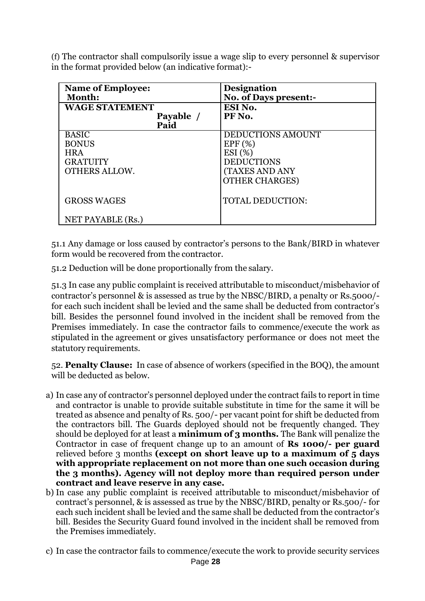(f) The contractor shall compulsorily issue a wage slip to every personnel & supervisor in the format provided below (an indicative format):-

| <b>Name of Employee:</b><br>Month: | <b>Designation</b><br>No. of Days present:- |
|------------------------------------|---------------------------------------------|
| <b>WAGE STATEMENT</b>              | ESI No.                                     |
| Payable /<br>Paid                  | PF No.                                      |
| <b>BASIC</b>                       | <b>DEDUCTIONS AMOUNT</b>                    |
| <b>BONUS</b>                       | EPF(%)                                      |
| <b>HRA</b>                         | ESI(%)                                      |
| <b>GRATUITY</b>                    | <b>DEDUCTIONS</b>                           |
| <b>OTHERS ALLOW.</b>               | <b>(TAXES AND ANY</b>                       |
|                                    | <b>OTHER CHARGES)</b>                       |
| <b>GROSS WAGES</b>                 | <b>TOTAL DEDUCTION:</b>                     |
| NET PAYABLE (Rs.)                  |                                             |

51.1 Any damage or loss caused by contractor's persons to the Bank/BIRD in whatever form would be recovered from the contractor.

51.2 Deduction will be done proportionally from the salary.

51.3 In case any public complaint is received attributable to misconduct/misbehavior of contractor's personnel & is assessed as true by the NBSC/BIRD, a penalty or Rs.5000/ for each such incident shall be levied and the same shall be deducted from contractor's bill. Besides the personnel found involved in the incident shall be removed from the Premises immediately. In case the contractor fails to commence/execute the work as stipulated in the agreement or gives unsatisfactory performance or does not meet the statutory requirements.

52. **Penalty Clause:** In case of absence of workers (specified in the BOQ), the amount will be deducted as below.

- a) In case any of contractor's personnel deployed under the contract fails to report in time and contractor is unable to provide suitable substitute in time for the same it will be treated as absence and penalty of Rs. 500/- per vacant point for shift be deducted from the contractors bill. The Guards deployed should not be frequently changed. They should be deployed for at least a **minimum of 3 months.** The Bank will penalize the Contractor in case of frequent change up to an amount of **Rs 1000/- per guard** relieved before 3 months **(except on short leave up to a maximum of 5 days with appropriate replacement on not more than one such occasion during the 3 months). Agency will not deploy more than required person under contract and leave reserve in any case.**
- b) In case any public complaint is received attributable to misconduct/misbehavior of contract's personnel, & is assessed as true by the NBSC/BIRD, penalty or Rs.500/- for each such incident shall be levied and the same shall be deducted from the contractor's bill. Besides the Security Guard found involved in the incident shall be removed from the Premises immediately.
- c) In case the contractor fails to commence/execute the work to provide security services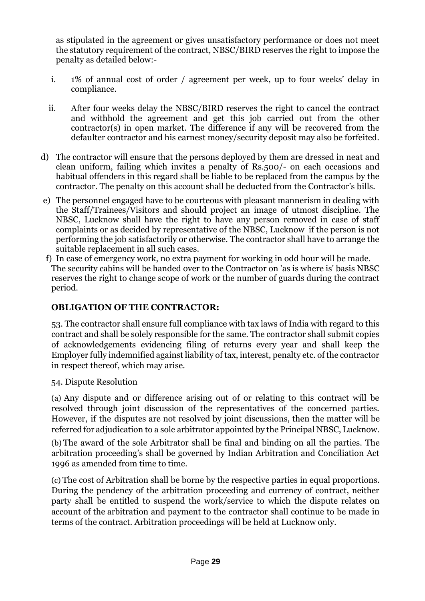as stipulated in the agreement or gives unsatisfactory performance or does not meet the statutory requirement of the contract, NBSC/BIRD reserves the right to impose the penalty as detailed below:-

- i. 1% of annual cost of order / agreement per week, up to four weeks' delay in compliance.
- ii. After four weeks delay the NBSC/BIRD reserves the right to cancel the contract and withhold the agreement and get this job carried out from the other contractor(s) in open market. The difference if any will be recovered from the defaulter contractor and his earnest money/security deposit may also be forfeited.
- d) The contractor will ensure that the persons deployed by them are dressed in neat and clean uniform, failing which invites a penalty of Rs.500/- on each occasions and habitual offenders in this regard shall be liable to be replaced from the campus by the contractor. The penalty on this account shall be deducted from the Contractor's bills.
- e) The personnel engaged have to be courteous with pleasant mannerism in dealing with the Staff/Trainees/Visitors and should project an image of utmost discipline. The NBSC, Lucknow shall have the right to have any person removed in case of staff complaints or as decided by representative of the NBSC, Lucknow if the person is not performing the job satisfactorily or otherwise. The contractor shall have to arrange the suitable replacement in all such cases.
- f) In case of emergency work, no extra payment for working in odd hour will be made. The security cabins will be handed over to the Contractor on 'as is where is' basis NBSC reserves the right to change scope of work or the number of guards during the contract period.

# **OBLIGATION OF THE CONTRACTOR:**

53. The contractor shall ensure full compliance with tax laws of India with regard to this contract and shall be solely responsible for the same. The contractor shall submit copies of acknowledgements evidencing filing of returns every year and shall keep the Employer fully indemnified against liability of tax, interest, penalty etc. of the contractor in respect thereof, which may arise.

54. Dispute Resolution

(a) Any dispute and or difference arising out of or relating to this contract will be resolved through joint discussion of the representatives of the concerned parties. However, if the disputes are not resolved by joint discussions, then the matter will be referred for adjudication to a sole arbitrator appointed by the Principal NBSC, Lucknow.

(b) The award of the sole Arbitrator shall be final and binding on all the parties. The arbitration proceeding's shall be governed by Indian Arbitration and Conciliation Act 1996 as amended from time to time.

(c) The cost of Arbitration shall be borne by the respective parties in equal proportions. During the pendency of the arbitration proceeding and currency of contract, neither party shall be entitled to suspend the work/service to which the dispute relates on account of the arbitration and payment to the contractor shall continue to be made in terms of the contract. Arbitration proceedings will be held at Lucknow only.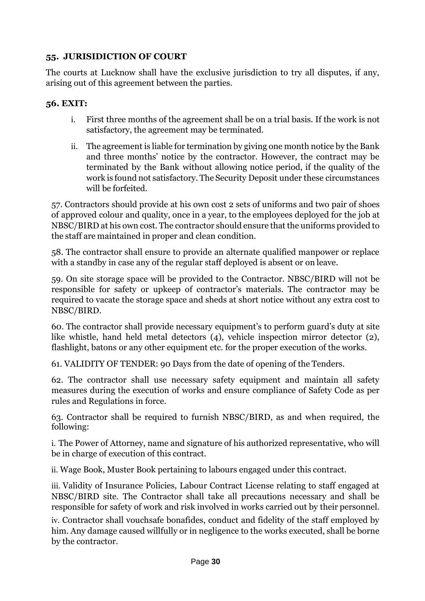# **55. JURISIDICTION OF COURT**

The courts at Lucknow shall have the exclusive jurisdiction to try all disputes, if any, arising out of this agreement between the parties.

# **56. EXIT:**

- i. First three months of the agreement shall be on a trial basis. If the work is not satisfactory, the agreement may be terminated.
- ii. The agreement is liable for termination by giving one month notice by the Bank and three months' notice by the contractor. However, the contract may be terminated by the Bank without allowing notice period, if the quality of the work is found not satisfactory. The Security Deposit under these circumstances will be forfeited.

57. Contractors should provide at his own cost 2 sets of uniforms and two pair of shoes of approved colour and quality, once in a year, to the employees deployed for the job at NBSC/BIRD at his own cost. The contractor should ensure that the uniforms provided to the staff are maintained in proper and clean condition.

58. The contractor shall ensure to provide an alternate qualified manpower or replace with a standby in case any of the regular staff deployed is absent or on leave.

59. On site storage space will be provided to the Contractor. NBSC/BIRD will not be responsible for safety or upkeep of contractor's materials. The contractor may be required to vacate the storage space and sheds at short notice without any extra cost to NBSC/BIRD.

60. The contractor shall provide necessary equipment's to perform guard's duty at site like whistle, hand held metal detectors (4), vehicle inspection mirror detector (2), flashlight, batons or any other equipment etc. for the proper execution of the works.

61. VALIDITY OF TENDER: 90 Days from the date of opening of the Tenders.

62. The contractor shall use necessary safety equipment and maintain all safety measures during the execution of works and ensure compliance of Safety Code as per rules and Regulations in force.

63. Contractor shall be required to furnish NBSC/BIRD, as and when required, the following:

i. The Power of Attorney, name and signature of his authorized representative, who will be in charge of execution of this contract.

ii. Wage Book, Muster Book pertaining to labours engaged under this contract.

iii. Validity of Insurance Policies, Labour Contract License relating to staff engaged at NBSC/BIRD site. The Contractor shall take all precautions necessary and shall be responsible for safety of work and risk involved in works carried out by their personnel.

iv. Contractor shall vouchsafe bonafides, conduct and fidelity of the staff employed by him. Any damage caused willfully or in negligence to the works executed, shall be borne by the contractor.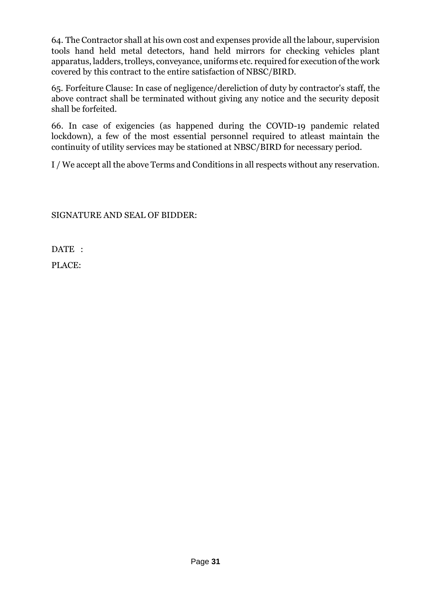64. The Contractor shall at his own cost and expenses provide all the labour, supervision tools hand held metal detectors, hand held mirrors for checking vehicles plant apparatus, ladders, trolleys, conveyance, uniforms etc. required for execution of the work covered by this contract to the entire satisfaction of NBSC/BIRD.

65. Forfeiture Clause: In case of negligence/dereliction of duty by contractor's staff, the above contract shall be terminated without giving any notice and the security deposit shall be forfeited.

66. In case of exigencies (as happened during the COVID-19 pandemic related lockdown), a few of the most essential personnel required to atleast maintain the continuity of utility services may be stationed at NBSC/BIRD for necessary period.

I / We accept all the above Terms and Conditions in all respects without any reservation.

SIGNATURE AND SEAL OF BIDDER:

DATE :

PLACE: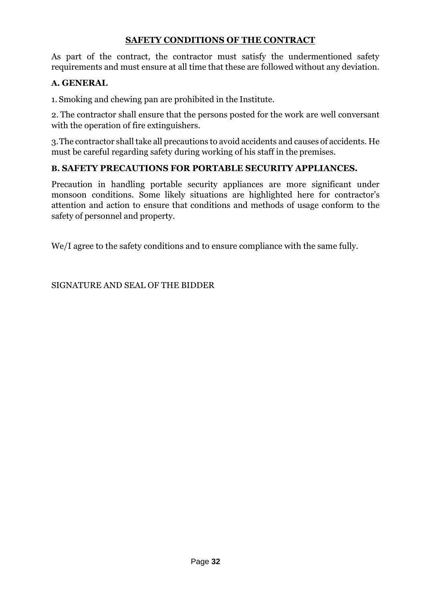# **SAFETY CONDITIONS OF THE CONTRACT**

As part of the contract, the contractor must satisfy the undermentioned safety requirements and must ensure at all time that these are followed without any deviation.

#### **A. GENERAL**

1. Smoking and chewing pan are prohibited in the Institute.

2. The contractor shall ensure that the persons posted for the work are well conversant with the operation of fire extinguishers.

3.The contractor shall take all precautions to avoid accidents and causes of accidents. He must be careful regarding safety during working of his staff in the premises.

#### **B. SAFETY PRECAUTIONS FOR PORTABLE SECURITY APPLIANCES.**

Precaution in handling portable security appliances are more significant under monsoon conditions. Some likely situations are highlighted here for contractor's attention and action to ensure that conditions and methods of usage conform to the safety of personnel and property.

We/I agree to the safety conditions and to ensure compliance with the same fully.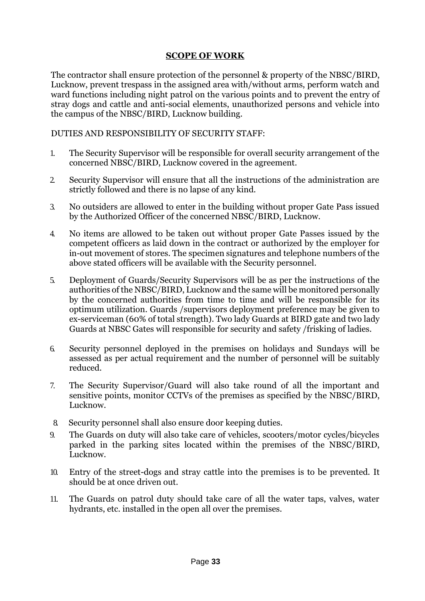#### **SCOPE OF WORK**

The contractor shall ensure protection of the personnel & property of the NBSC/BIRD, Lucknow, prevent trespass in the assigned area with/without arms, perform watch and ward functions including night patrol on the various points and to prevent the entry of stray dogs and cattle and anti-social elements, unauthorized persons and vehicle into the campus of the NBSC/BIRD, Lucknow building.

DUTIES AND RESPONSIBILITY OF SECURITY STAFF:

- 1. The Security Supervisor will be responsible for overall security arrangement of the concerned NBSC/BIRD, Lucknow covered in the agreement.
- 2. Security Supervisor will ensure that all the instructions of the administration are strictly followed and there is no lapse of any kind.
- 3. No outsiders are allowed to enter in the building without proper Gate Pass issued by the Authorized Officer of the concerned NBSC/BIRD, Lucknow.
- 4. No items are allowed to be taken out without proper Gate Passes issued by the competent officers as laid down in the contract or authorized by the employer for in-out movement of stores. The specimen signatures and telephone numbers of the above stated officers will be available with the Security personnel.
- 5. Deployment of Guards/Security Supervisors will be as per the instructions of the authorities of the NBSC/BIRD, Lucknow and the same will be monitored personally by the concerned authorities from time to time and will be responsible for its optimum utilization. Guards /supervisors deployment preference may be given to ex-serviceman (60% of total strength). Two lady Guards at BIRD gate and two lady Guards at NBSC Gates will responsible for security and safety /frisking of ladies.
- 6. Security personnel deployed in the premises on holidays and Sundays will be assessed as per actual requirement and the number of personnel will be suitably reduced.
- 7. The Security Supervisor/Guard will also take round of all the important and sensitive points, monitor CCTVs of the premises as specified by the NBSC/BIRD, Lucknow.
- 8. Security personnel shall also ensure door keeping duties.
- 9. The Guards on duty will also take care of vehicles, scooters/motor cycles/bicycles parked in the parking sites located within the premises of the NBSC/BIRD, Lucknow.
- 10. Entry of the street-dogs and stray cattle into the premises is to be prevented. It should be at once driven out.
- 11. The Guards on patrol duty should take care of all the water taps, valves, water hydrants, etc. installed in the open all over the premises.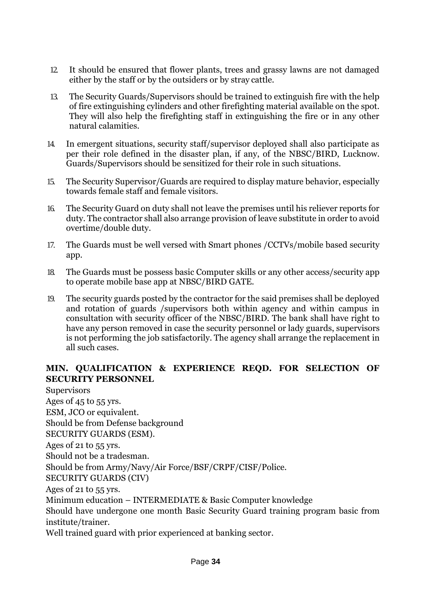- 12. It should be ensured that flower plants, trees and grassy lawns are not damaged either by the staff or by the outsiders or by stray cattle.
- 13. The Security Guards/Supervisors should be trained to extinguish fire with the help of fire extinguishing cylinders and other firefighting material available on the spot. They will also help the firefighting staff in extinguishing the fire or in any other natural calamities.
- 14. In emergent situations, security staff/supervisor deployed shall also participate as per their role defined in the disaster plan, if any, of the NBSC/BIRD, Lucknow. Guards/Supervisors should be sensitized for their role in such situations.
- 15. The Security Supervisor/Guards are required to display mature behavior, especially towards female staff and female visitors.
- 16. The Security Guard on duty shall not leave the premises until his reliever reports for duty. The contractor shall also arrange provision of leave substitute in order to avoid overtime/double duty.
- 17. The Guards must be well versed with Smart phones /CCTVs/mobile based security app.
- 18. The Guards must be possess basic Computer skills or any other access/security app to operate mobile base app at NBSC/BIRD GATE.
- 19. The security guards posted by the contractor for the said premises shall be deployed and rotation of guards /supervisors both within agency and within campus in consultation with security officer of the NBSC/BIRD. The bank shall have right to have any person removed in case the security personnel or lady guards, supervisors is not performing the job satisfactorily. The agency shall arrange the replacement in all such cases.

#### **MIN. QUALIFICATION & EXPERIENCE REQD. FOR SELECTION OF SECURITY PERSONNEL**

**Supervisors** Ages of 45 to 55 yrs. ESM, JCO or equivalent. Should be from Defense background SECURITY GUARDS (ESM). Ages of 21 to 55 yrs. Should not be a tradesman. Should be from Army/Navy/Air Force/BSF/CRPF/CISF/Police. SECURITY GUARDS (CIV) Ages of 21 to 55 yrs. Minimum education – INTERMEDIATE & Basic Computer knowledge Should have undergone one month Basic Security Guard training program basic from institute/trainer. Well trained guard with prior experienced at banking sector.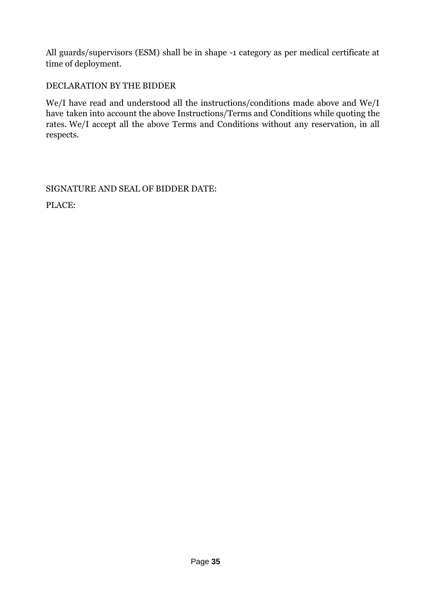All guards/supervisors (ESM) shall be in shape -1 category as per medical certificate at time of deployment.

# DECLARATION BY THE BIDDER

We/I have read and understood all the instructions/conditions made above and We/I have taken into account the above Instructions/Terms and Conditions while quoting the rates. We/I accept all the above Terms and Conditions without any reservation, in all respects.

SIGNATURE AND SEAL OF BIDDER DATE:

PLACE: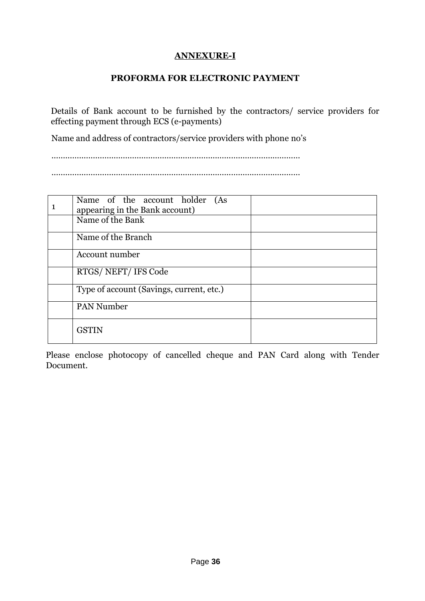#### **ANNEXURE-I**

#### **PROFORMA FOR ELECTRONIC PAYMENT**

Details of Bank account to be furnished by the contractors/ service providers for effecting payment through ECS (e-payments)

Name and address of contractors/service providers with phone no's

………………………………………………………………………………………………

………………………………………………………………………………………………

| Name of the account holder (As<br>appearing in the Bank account) |  |
|------------------------------------------------------------------|--|
| Name of the Bank                                                 |  |
| Name of the Branch                                               |  |
| Account number                                                   |  |
| RTGS/NEFT/IFS Code                                               |  |
| Type of account (Savings, current, etc.)                         |  |
| <b>PAN Number</b>                                                |  |
| <b>GSTIN</b>                                                     |  |

Please enclose photocopy of cancelled cheque and PAN Card along with Tender Document.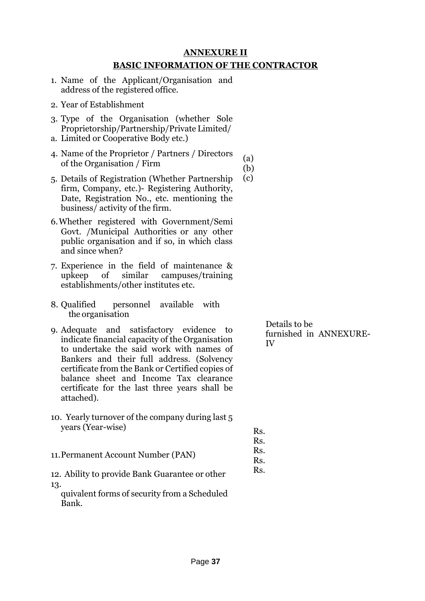#### **ANNEXURE II BASIC INFORMATION OF THE CONTRACTOR**

(a) (b)

> Rs. Rs. Rs. Rs. Rs.

- 1. Name of the Applicant/Organisation and address of the registered office.
- 2. Year of Establishment
- 3. Type of the Organisation (whether Sole Proprietorship/Partnership/Private Limited/
- a. Limited or Cooperative Body etc.)
- 4. Name of the Proprietor / Partners / Directors of the Organisation / Firm
- 5. Details of Registration (Whether Partnership firm, Company, etc.)- Registering Authority, Date, Registration No., etc. mentioning the business/ activity of the firm. (c)
- 6.Whether registered with Government/Semi Govt. /Municipal Authorities or any other public organisation and if so, in which class and since when?
- 7. Experience in the field of maintenance & upkeep of similar campuses/training establishments/other institutes etc.
- 8. Qualified personnel available with the organisation
- 9. Adequate and satisfactory evidence to indicate financial capacity of the Organisation to undertake the said work with names of Bankers and their full address. (Solvency certificate from the Bank or Certified copies of balance sheet and Income Tax clearance certificate for the last three years shall be attached).
- 10. Yearly turnover of the company during last 5 years (Year-wise)
- 11.Permanent Account Number (PAN)
- 12. Ability to provide Bank Guarantee or other  $13.$

quivalent forms of security from a Scheduled Bank.

Details to be furnished in ANNEXURE-IV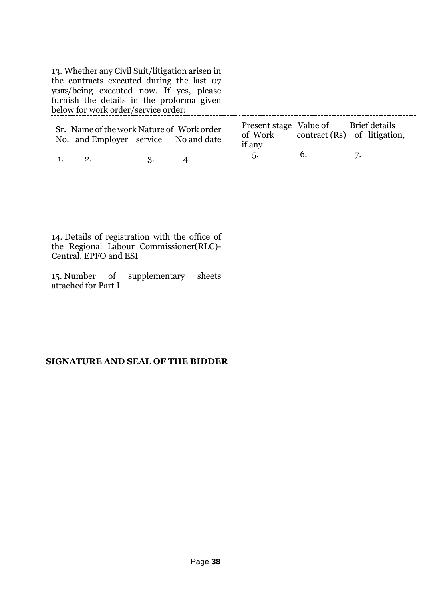13. Whether any Civil Suit/litigation arisen in the contracts executed during the last 07 years/being executed now. If yes, please furnish the details in the proforma given below for work order/service order:

|    | Sr. Name of the work Nature of Work order<br>No. and Employer service No and date |     |    | Present stage Value of Brief details<br>if any |                | of Work contract (Rs) of litigation, |
|----|-----------------------------------------------------------------------------------|-----|----|------------------------------------------------|----------------|--------------------------------------|
| 1. | 2.                                                                                | ્વ. | 4. |                                                | $\mathbf{b}$ . |                                      |

14. Details of registration with the office of the Regional Labour Commissioner(RLC)- Central, EPFO and ESI

15. Number of supplementary sheets attached for Part I.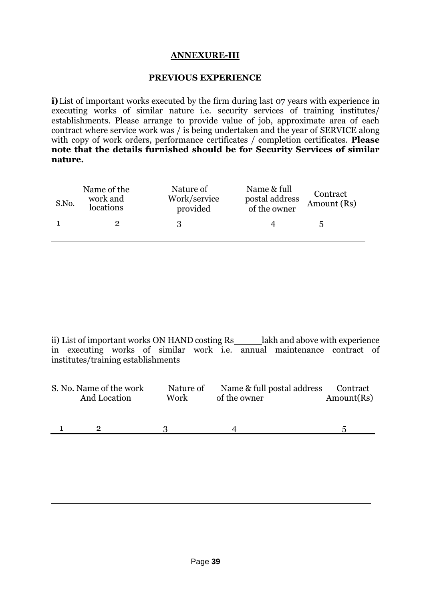#### **ANNEXURE-III**

#### **PREVIOUS EXPERIENCE**

**i)**List of important works executed by the firm during last 07 years with experience in executing works of similar nature i.e. security services of training institutes/ establishments. Please arrange to provide value of job, approximate area of each contract where service work was / is being undertaken and the year of SERVICE along with copy of work orders, performance certificates / completion certificates. **Please note that the details furnished should be for Security Services of similar nature.**

| S.No. | Name of the<br>work and<br>locations | Nature of<br>Work/service<br>provided | Name & full<br>postal address<br>of the owner | Contract<br>Amount (Rs) |
|-------|--------------------------------------|---------------------------------------|-----------------------------------------------|-------------------------|
|       |                                      |                                       |                                               | .h                      |

ii) List of important works ON HAND costing Rs\_salakh and above with experience in executing works of similar work i.e. annual maintenance contract of institutes/training establishments

| S. No. Name of the work | Nature of | Name & full postal address | Contract   |
|-------------------------|-----------|----------------------------|------------|
| And Location            | Work      | of the owner               | Amount(Rs) |
|                         |           |                            |            |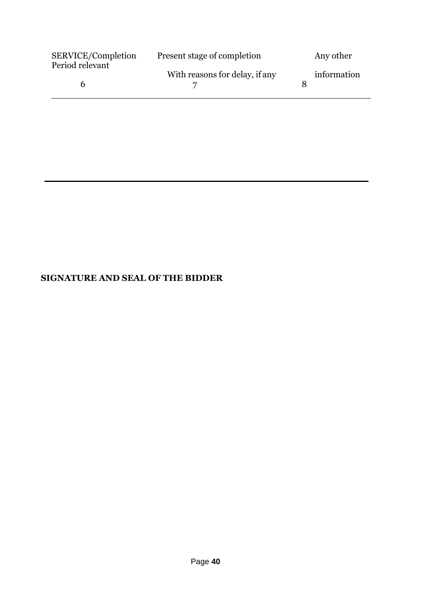| SERVICE/Completion<br>Period relevant | Present stage of completion    | Any other   |
|---------------------------------------|--------------------------------|-------------|
|                                       | With reasons for delay, if any | information |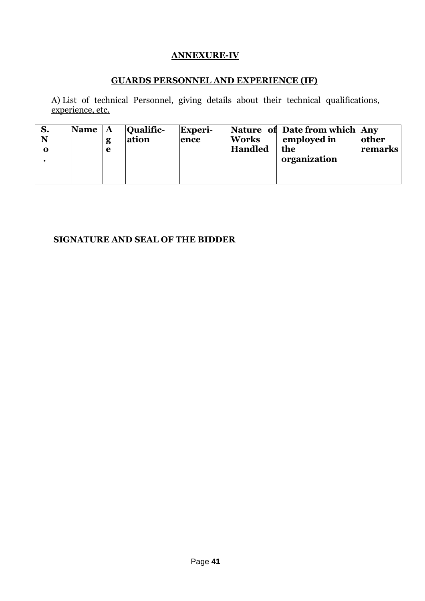# **ANNEXURE-IV**

# **GUARDS PERSONNEL AND EXPERIENCE (IF)**

A) List of technical Personnel, giving details about their technical qualifications, experience, etc.

| S.<br>N<br>0 | <b>Name</b> | $\mathbf{A}$<br>g<br>e | <b>Qualific-</b><br> ation | Experi-<br>ence | <b>Works</b><br><b>Handled</b> | Nature of Date from which Any<br>employed in<br>the<br>organization | other<br>remarks |
|--------------|-------------|------------------------|----------------------------|-----------------|--------------------------------|---------------------------------------------------------------------|------------------|
|              |             |                        |                            |                 |                                |                                                                     |                  |
|              |             |                        |                            |                 |                                |                                                                     |                  |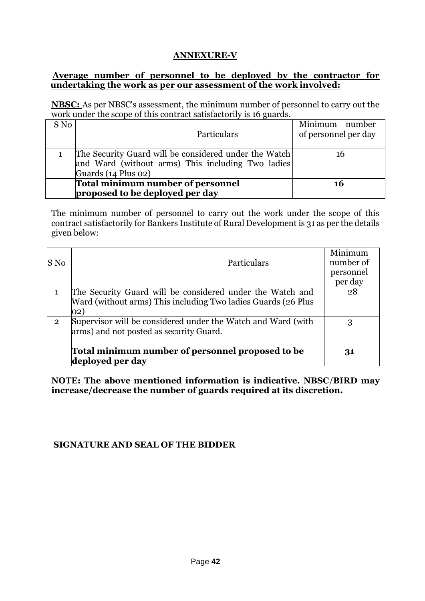# **ANNEXURE-V**

#### **Average number of personnel to be deployed by the contractor for undertaking the work as per our assessment of the work involved:**

**NBSC:** As per NBSC's assessment, the minimum number of personnel to carry out the work under the scope of this contract satisfactorily is 16 guards.

| S No | Particulars                                           | Minimum number<br>of personnel per day |
|------|-------------------------------------------------------|----------------------------------------|
|      | The Security Guard will be considered under the Watch |                                        |
|      | and Ward (without arms) This including Two ladies     |                                        |
|      | Guards (14 Plus 02)                                   |                                        |
|      | Total minimum number of personnel                     | 16                                     |
|      | proposed to be deployed per day                       |                                        |

The minimum number of personnel to carry out the work under the scope of this contract satisfactorily for Bankers Institute of Rural Development is 31 as per the details given below:

| S No           | Particulars                                                                                                                                | Minimum<br>number of<br>personnel<br>per day |
|----------------|--------------------------------------------------------------------------------------------------------------------------------------------|----------------------------------------------|
|                | The Security Guard will be considered under the Watch and<br>Ward (without arms) This including Two ladies Guards (26 Plus<br>$ 02\rangle$ | 28                                           |
| $\overline{2}$ | Supervisor will be considered under the Watch and Ward (with<br>arms) and not posted as security Guard.                                    | 3                                            |
|                | Total minimum number of personnel proposed to be<br>deployed per day                                                                       | 31                                           |

**NOTE: The above mentioned information is indicative. NBSC**/**BIRD may increase/decrease the number of guards required at its discretion.**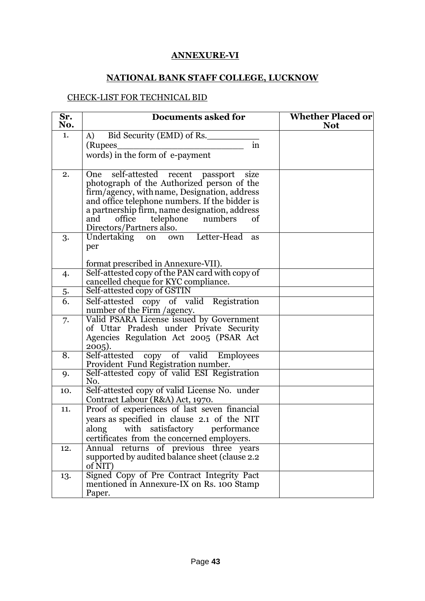# **ANNEXURE-VI**

# **NATIONAL BANK STAFF COLLEGE, LUCKNOW**

#### CHECK-LIST FOR TECHNICAL BID

| Sr.<br>No.       | <b>Documents asked for</b>                                                                                                                                                                                                                                                                                      | <b>Whether Placed or</b><br><b>Not</b> |
|------------------|-----------------------------------------------------------------------------------------------------------------------------------------------------------------------------------------------------------------------------------------------------------------------------------------------------------------|----------------------------------------|
| 1.               | Bid Security (EMD) of Rs.<br>A)                                                                                                                                                                                                                                                                                 |                                        |
|                  | in<br>(Rupees                                                                                                                                                                                                                                                                                                   |                                        |
|                  | words) in the form of e-payment                                                                                                                                                                                                                                                                                 |                                        |
| 2.               | One self-attested recent passport<br>size<br>photograph of the Authorized person of the<br>firm/agency, with name, Designation, address<br>and office telephone numbers. If the bidder is<br>a partnership firm, name designation, address<br>office telephone numbers<br>and<br>of<br>Directors/Partners also. |                                        |
| 3.               | Undertaking on<br>own Letter-Head<br>as<br>per                                                                                                                                                                                                                                                                  |                                        |
|                  | format prescribed in Annexure-VII).                                                                                                                                                                                                                                                                             |                                        |
| 4.               | Self-attested copy of the PAN card with copy of<br>cancelled cheque for KYC compliance.                                                                                                                                                                                                                         |                                        |
| 5.               | Self-attested copy of GSTIN                                                                                                                                                                                                                                                                                     |                                        |
| $\overline{6}$ . | Self-attested copy of valid Registration<br>number of the Firm / agency.                                                                                                                                                                                                                                        |                                        |
| 7.               | Valid PSARA License issued by Government<br>of Uttar Pradesh under Private Security<br>Agencies Regulation Act 2005 (PSAR Act<br>$2005$ ).                                                                                                                                                                      |                                        |
| 8.               | Self-attested copy of valid Employees<br>Provident Fund Registration number.                                                                                                                                                                                                                                    |                                        |
| 9.               | Self-attested copy of valid ESI Registration<br>No.                                                                                                                                                                                                                                                             |                                        |
| 10.              | Self-attested copy of valid License No. under<br>Contract Labour (R&A) Act, 1970.                                                                                                                                                                                                                               |                                        |
| 11.              | Proof of experiences of last seven financial<br>years as specified in clause 2.1 of the NIT<br>along with satisfactory performance<br>certificates from the concerned employers.                                                                                                                                |                                        |
| 12.              | returns of previous three years<br>Annual<br>supported by audited balance sheet (clause 2.2)<br>of NIT)                                                                                                                                                                                                         |                                        |
| 13.              | Signed Copy of Pre Contract Integrity Pact<br>mentioned in Annexure-IX on Rs. 100 Stamp<br>Paper.                                                                                                                                                                                                               |                                        |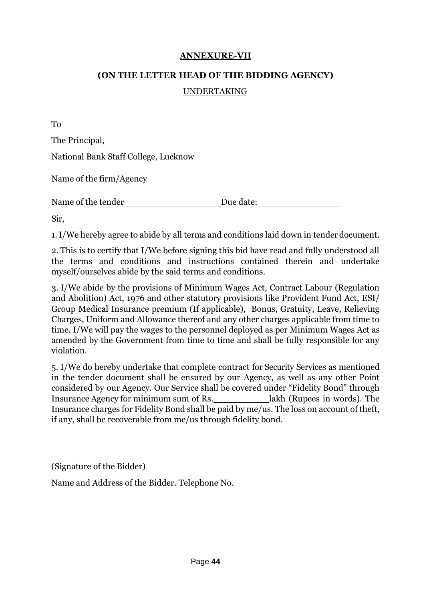#### **ANNEXURE-VII**

#### **(ON THE LETTER HEAD OF THE BIDDING AGENCY)**

#### UNDERTAKING

To

The Principal,

National Bank Staff College, Lucknow

Name of the firm/Agency

Name of the tender Due date:

Sir,

1.I/We hereby agree to abide by all terms and conditions laid down in tender document.

2. This is to certify that I/We before signing this bid have read and fully understood all the terms and conditions and instructions contained therein and undertake myself/ourselves abide by the said terms and conditions.

3. I/We abide by the provisions of Minimum Wages Act, Contract Labour (Regulation and Abolition) Act, 1976 and other statutory provisions like Provident Fund Act, ESI/ Group Medical Insurance premium (If applicable), Bonus, Gratuity, Leave, Relieving Charges, Uniform and Allowance thereof and any other charges applicable from time to time. I/We will pay the wages to the personnel deployed as per Minimum Wages Act as amended by the Government from time to time and shall be fully responsible for any violation.

5. I/We do hereby undertake that complete contract for Security Services as mentioned in the tender document shall be ensured by our Agency, as well as any other Point considered by our Agency. Our Service shall be covered under "Fidelity Bond" through Insurance Agency for minimum sum of Rs. \_\_\_\_\_\_\_\_\_\_\_\_\_\_\_\_lakh (Rupees in words). The Insurance charges for Fidelity Bond shall be paid by me/us. The loss on account of theft, if any, shall be recoverable from me/us through fidelity bond.

(Signature of the Bidder)

Name and Address of the Bidder. Telephone No.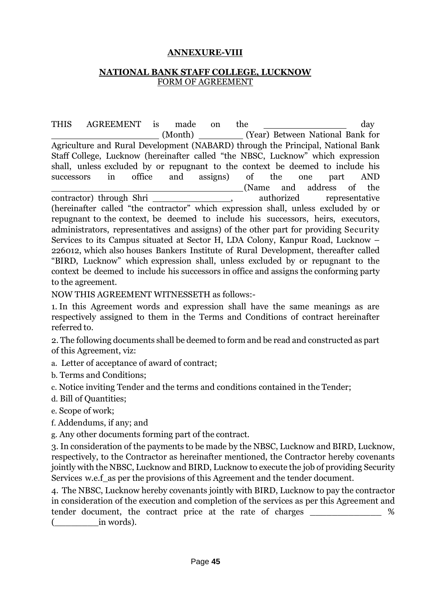#### **ANNEXURE-VIII**

#### **NATIONAL BANK STAFF COLLEGE, LUCKNOW** FORM OF AGREEMENT

THIS AGREEMENT is made on the day (Month) (Year) Between National Bank for Agriculture and Rural Development (NABARD) through the Principal, National Bank Staff College, Lucknow (hereinafter called "the NBSC, Lucknow" which expression shall, unless excluded by or repugnant to the context be deemed to include his successors in office and assigns) of the one part AND (Name and address of the contractor) through Shri \_\_\_\_\_\_\_\_\_\_\_\_\_\_\_\_\_\_\_, authorized representative (hereinafter called "the contractor" which expression shall, unless excluded by or repugnant to the context, be deemed to include his successors, heirs, executors, administrators, representatives and assigns) of the other part for providing Security Services to its Campus situated at Sector H, LDA Colony, Kanpur Road, Lucknow – 226012, which also houses Bankers Institute of Rural Development, thereafter called "BIRD, Lucknow" which expression shall, unless excluded by or repugnant to the context be deemed to include his successors in office and assigns the conforming party to the agreement.

NOW THIS AGREEMENT WITNESSETH as follows:-

1. In this Agreement words and expression shall have the same meanings as are respectively assigned to them in the Terms and Conditions of contract hereinafter referred to.

2. The following documents shall be deemed to form and be read and constructed as part of this Agreement, viz:

a. Letter of acceptance of award of contract;

b. Terms and Conditions;

c. Notice inviting Tender and the terms and conditions contained in the Tender;

d. Bill of Quantities;

e. Scope of work;

f. Addendums, if any; and

g. Any other documents forming part of the contract.

3. In consideration of the payments to be made by the NBSC, Lucknow and BIRD, Lucknow, respectively, to the Contractor as hereinafter mentioned, the Contractor hereby covenants jointly with the NBSC, Lucknow and BIRD, Lucknow to execute the job of providing Security Services w.e.f as per the provisions of this Agreement and the tender document.

4. The NBSC, Lucknow hereby covenants jointly with BIRD, Lucknow to pay the contractor in consideration of the execution and completion of the services as per this Agreement and tender document, the contract price at the rate of charges  $\%$ in words).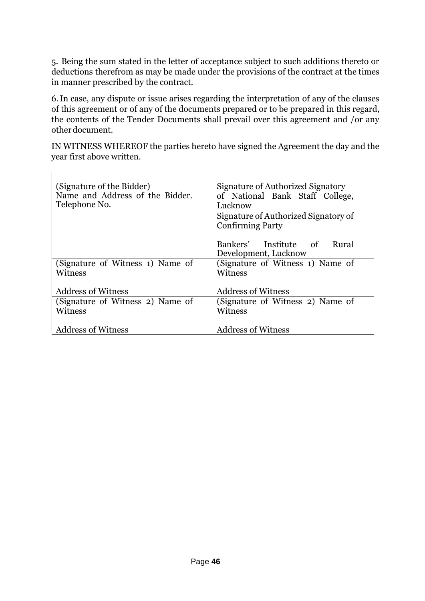5. Being the sum stated in the letter of acceptance subject to such additions thereto or deductions therefrom as may be made under the provisions of the contract at the times in manner prescribed by the contract.

6.In case, any dispute or issue arises regarding the interpretation of any of the clauses of this agreement or of any of the documents prepared or to be prepared in this regard, the contents of the Tender Documents shall prevail over this agreement and /or any otherdocument.

IN WITNESS WHEREOF the parties hereto have signed the Agreement the day and the year first above written.

| (Signature of the Bidder)<br>Name and Address of the Bidder.<br>Telephone No. | Signature of Authorized Signatory<br>of National Bank Staff College,<br>Lucknow |
|-------------------------------------------------------------------------------|---------------------------------------------------------------------------------|
|                                                                               | Signature of Authorized Signatory of                                            |
|                                                                               | <b>Confirming Party</b>                                                         |
|                                                                               |                                                                                 |
|                                                                               | Bankers' Institute of<br>Rural                                                  |
|                                                                               | Development, Lucknow                                                            |
| (Signature of Witness 1) Name of                                              | (Signature of Witness 1) Name of                                                |
| Witness                                                                       | Witness                                                                         |
|                                                                               |                                                                                 |
| <b>Address of Witness</b>                                                     | <b>Address of Witness</b>                                                       |
| (Signature of Witness 2) Name of                                              | (Signature of Witness 2) Name of                                                |
| Witness                                                                       | Witness                                                                         |
|                                                                               |                                                                                 |
| <b>Address of Witness</b>                                                     | <b>Address of Witness</b>                                                       |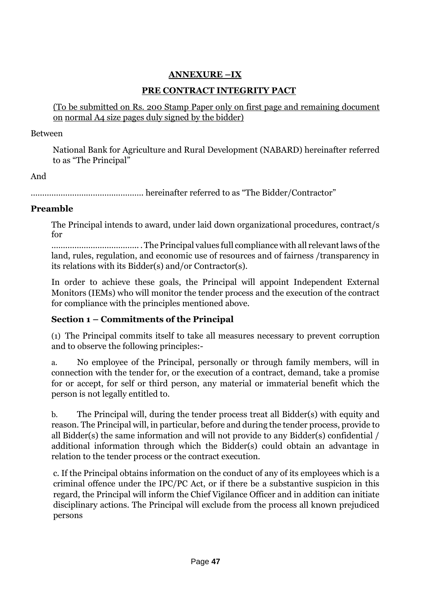# **ANNEXURE –IX**

# **PRE CONTRACT INTEGRITY PACT**

(To be submitted on Rs. 200 Stamp Paper only on first page and remaining document on normal A4 size pages duly signed by the bidder)

#### Between

National Bank for Agriculture and Rural Development (NABARD) hereinafter referred to as "The Principal"

# And

…………………………………………. hereinafter referred to as "The Bidder/Contractor"

# **Preamble**

The Principal intends to award, under laid down organizational procedures, contract/s for

……………………………….. .The Principal values full compliance with all relevantlaws ofthe land, rules, regulation, and economic use of resources and of fairness /transparency in its relations with its Bidder(s) and/or Contractor(s).

In order to achieve these goals, the Principal will appoint Independent External Monitors (IEMs) who will monitor the tender process and the execution of the contract for compliance with the principles mentioned above.

# **Section 1 – Commitments of the Principal**

(1) The Principal commits itself to take all measures necessary to prevent corruption and to observe the following principles:-

a. No employee of the Principal, personally or through family members, will in connection with the tender for, or the execution of a contract, demand, take a promise for or accept, for self or third person, any material or immaterial benefit which the person is not legally entitled to.

b. The Principal will, during the tender process treat all Bidder(s) with equity and reason. The Principal will, in particular, before and during the tender process, provide to all Bidder(s) the same information and will not provide to any Bidder(s) confidential / additional information through which the Bidder(s) could obtain an advantage in relation to the tender process or the contract execution.

c. If the Principal obtains information on the conduct of any of its employees which is a criminal offence under the IPC/PC Act, or if there be a substantive suspicion in this regard, the Principal will inform the Chief Vigilance Officer and in addition can initiate disciplinary actions. The Principal will exclude from the process all known prejudiced persons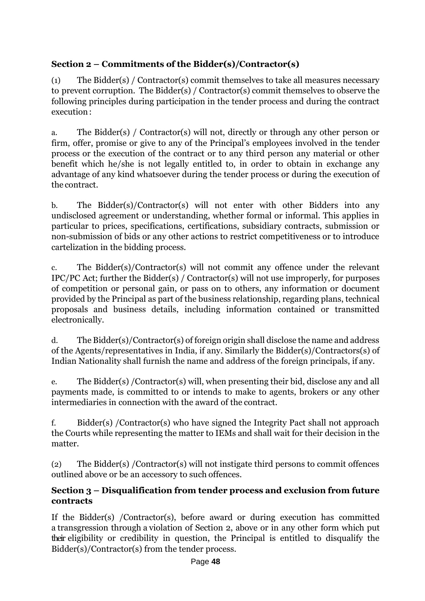# **Section 2 – Commitments of the Bidder(s)/Contractor(s)**

(1) The Bidder(s) / Contractor(s) commit themselves to take all measures necessary to prevent corruption. The Bidder(s) / Contractor(s) commit themselves to observe the following principles during participation in the tender process and during the contract execution:

a. The Bidder(s) / Contractor(s) will not, directly or through any other person or firm, offer, promise or give to any of the Principal's employees involved in the tender process or the execution of the contract or to any third person any material or other benefit which he/she is not legally entitled to, in order to obtain in exchange any advantage of any kind whatsoever during the tender process or during the execution of the contract.

b. The Bidder(s)/Contractor(s) will not enter with other Bidders into any undisclosed agreement or understanding, whether formal or informal. This applies in particular to prices, specifications, certifications, subsidiary contracts, submission or non-submission of bids or any other actions to restrict competitiveness or to introduce cartelization in the bidding process.

c. The Bidder(s)/Contractor(s) will not commit any offence under the relevant IPC/PC Act; further the Bidder(s) / Contractor(s) will not use improperly, for purposes of competition or personal gain, or pass on to others, any information or document provided by the Principal as part of the business relationship, regarding plans, technical proposals and business details, including information contained or transmitted electronically.

d. The Bidder(s)/Contractor(s) of foreign origin shall disclose the name and address of the Agents/representatives in India, if any. Similarly the Bidder(s)/Contractors(s) of Indian Nationality shall furnish the name and address of the foreign principals, if any.

e. The Bidder(s) /Contractor(s) will, when presenting their bid, disclose any and all payments made, is committed to or intends to make to agents, brokers or any other intermediaries in connection with the award of the contract.

f. Bidder(s) /Contractor(s) who have signed the Integrity Pact shall not approach the Courts while representing the matter to IEMs and shall wait for their decision in the matter.

(2) The Bidder(s) /Contractor(s) will not instigate third persons to commit offences outlined above or be an accessory to such offences.

# **Section 3 – Disqualification from tender process and exclusion from future contracts**

If the Bidder(s) /Contractor(s), before award or during execution has committed a transgression through a violation of Section 2, above or in any other form which put their eligibility or credibility in question, the Principal is entitled to disqualify the Bidder(s)/Contractor(s) from the tender process.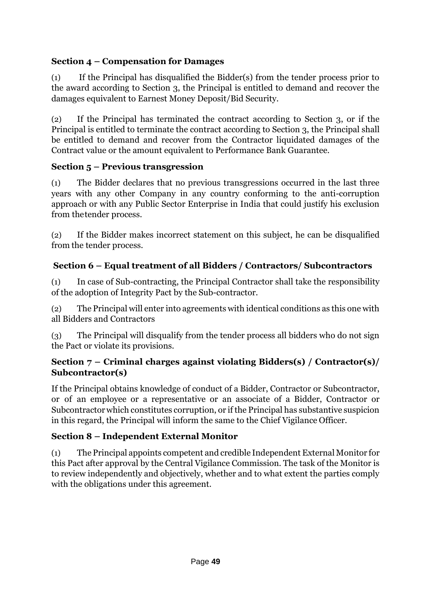# **Section 4 – Compensation for Damages**

(1) If the Principal has disqualified the Bidder(s) from the tender process prior to the award according to Section 3, the Principal is entitled to demand and recover the damages equivalent to Earnest Money Deposit/Bid Security.

(2) If the Principal has terminated the contract according to Section 3, or if the Principal is entitled to terminate the contract according to Section 3, the Principal shall be entitled to demand and recover from the Contractor liquidated damages of the Contract value or the amount equivalent to Performance Bank Guarantee.

# **Section 5 – Previous transgression**

(1) The Bidder declares that no previous transgressions occurred in the last three years with any other Company in any country conforming to the anti-corruption approach or with any Public Sector Enterprise in India that could justify his exclusion from thetender process.

(2) If the Bidder makes incorrect statement on this subject, he can be disqualified from the tender process.

# **Section 6 – Equal treatment of all Bidders / Contractors/ Subcontractors**

(1) In case of Sub-contracting, the Principal Contractor shall take the responsibility of the adoption of Integrity Pact by the Sub-contractor.

(2) The Principal will enter into agreements with identical conditions as this one with all Bidders and Contractors

(3) The Principal will disqualify from the tender process all bidders who do not sign the Pact or violate its provisions.

# **Section 7 – Criminal charges against violating Bidders(s) / Contractor(s)/ Subcontractor(s)**

If the Principal obtains knowledge of conduct of a Bidder, Contractor or Subcontractor, or of an employee or a representative or an associate of a Bidder, Contractor or Subcontractorwhich constitutes corruption, or if the Principal has substantive suspicion in this regard, the Principal will inform the same to the Chief Vigilance Officer.

# **Section 8 – Independent External Monitor**

(1) The Principal appoints competent and credible Independent External Monitor for this Pact after approval by the Central Vigilance Commission. The task of the Monitor is to review independently and objectively, whether and to what extent the parties comply with the obligations under this agreement.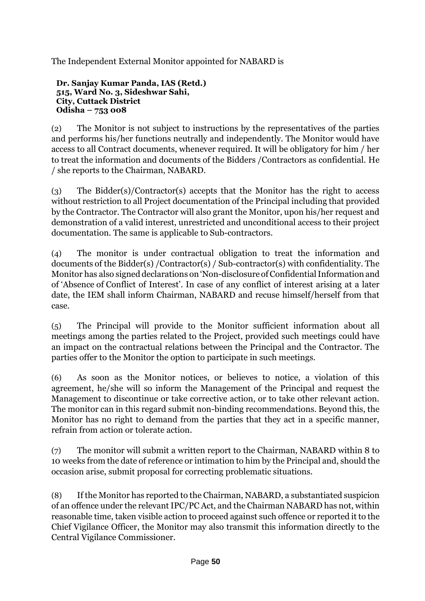The Independent External Monitor appointed for NABARD is

**Dr. Sanjay Kumar Panda, IAS (Retd.) 515, Ward No. 3, Sideshwar Sahi, City, Cuttack District Odisha – 753 008**

(2) The Monitor is not subject to instructions by the representatives of the parties and performs his/her functions neutrally and independently. The Monitor would have access to all Contract documents, whenever required. It will be obligatory for him / her to treat the information and documents of the Bidders /Contractors as confidential. He / she reports to the Chairman, NABARD.

(3) The Bidder(s)/Contractor(s) accepts that the Monitor has the right to access without restriction to all Project documentation of the Principal including that provided by the Contractor. The Contractor will also grant the Monitor, upon his/her request and demonstration of a valid interest, unrestricted and unconditional access to their project documentation. The same is applicable to Sub-contractors.

(4) The monitor is under contractual obligation to treat the information and documents of the Bidder(s) /Contractor(s) / Sub-contractor(s) with confidentiality. The Monitor has also signed declarations on 'Non-disclosure of Confidential Information and of 'Absence of Conflict of Interest'. In case of any conflict of interest arising at a later date, the IEM shall inform Chairman, NABARD and recuse himself/herself from that case.

(5) The Principal will provide to the Monitor sufficient information about all meetings among the parties related to the Project, provided such meetings could have an impact on the contractual relations between the Principal and the Contractor. The parties offer to the Monitor the option to participate in such meetings.

(6) As soon as the Monitor notices, or believes to notice, a violation of this agreement, he/she will so inform the Management of the Principal and request the Management to discontinue or take corrective action, or to take other relevant action. The monitor can in this regard submit non-binding recommendations. Beyond this, the Monitor has no right to demand from the parties that they act in a specific manner, refrain from action or tolerate action.

(7) The monitor will submit a written report to the Chairman, NABARD within 8 to 10 weeks from the date of reference or intimation to him by the Principal and, should the occasion arise, submit proposal for correcting problematic situations.

(8) If the Monitor has reported to the Chairman, NABARD, a substantiated suspicion of an offence under the relevant IPC/PC Act, and the Chairman NABARD has not, within reasonable time, taken visible action to proceed against such offence or reported it to the Chief Vigilance Officer, the Monitor may also transmit this information directly to the Central Vigilance Commissioner.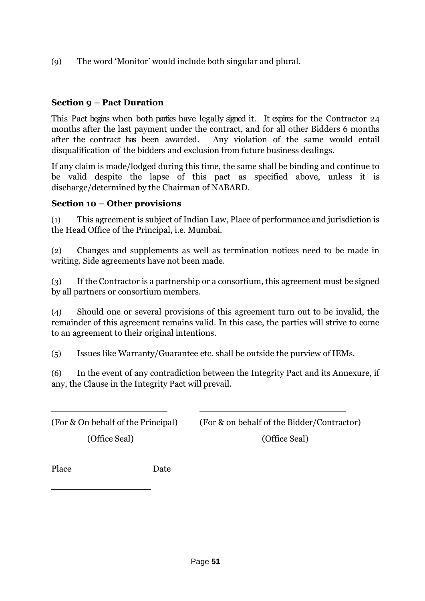(9) The word 'Monitor' would include both singular and plural.

# **Section 9 – Pact Duration**

This Pact begins when both parties have legally signed it. It expires for the Contractor 24 months after the last payment under the contract, and for all other Bidders 6 months after the contract has been awarded. Any violation of the same would entail Any violation of the same would entail disqualification of the bidders and exclusion from future business dealings.

If any claim is made/lodged during this time, the same shall be binding and continue to be valid despite the lapse of this pact as specified above, unless it is discharge/determined by the Chairman of NABARD.

#### **Section 10 – Other provisions**

(1) This agreement is subject of Indian Law, Place of performance and jurisdiction is the Head Office of the Principal, i.e. Mumbai.

(2) Changes and supplements as well as termination notices need to be made in writing. Side agreements have not been made.

(3) If the Contractor is a partnership or a consortium, this agreement must be signed by all partners or consortium members.

(4) Should one or several provisions of this agreement turn out to be invalid, the remainder of this agreement remains valid. In this case, the parties will strive to come to an agreement to their original intentions.

(5) Issues like Warranty/Guarantee etc. shall be outside the purview of IEMs.

(6) In the event of any contradiction between the Integrity Pact and its Annexure, if any, the Clause in the Integrity Pact will prevail.

(For & On behalf of the Principal) (For & on behalf of the Bidder/Contractor)

(Office Seal) (Office Seal)

Place Date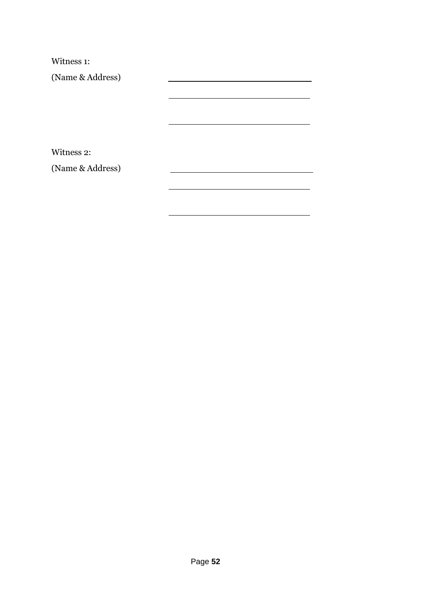Witness 1:

(Name & Address)

Witness 2:

(Name & Address)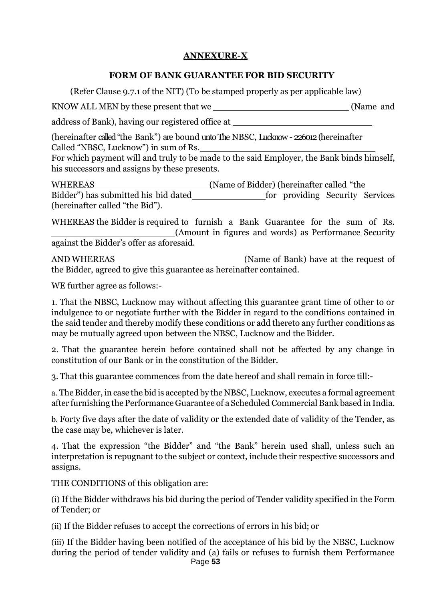# **ANNEXURE-X**

## **FORM OF BANK GUARANTEE FOR BID SECURITY**

(Refer Clause 9.7.1 of the NIT) (To be stamped properly as per applicable law)

KNOW ALL MEN by these present that we (Name and

address of Bank), having our registered office at

(hereinafter called"the Bank") are bound untoThe NBSC, Lucknow- 226012(hereinafter Called "NBSC, Lucknow") in sum of Rs.

For which payment will and truly to be made to the said Employer, the Bank binds himself, his successors and assigns by these presents.

WHEREAS (Name of Bidder) (hereinafter called "the Bidder") has submitted his bid dated for providing Security Services (hereinafter called "the Bid").

WHEREAS the Bidder is required to furnish a Bank Guarantee for the sum of Rs. (Amount in figures and words) as Performance Security against the Bidder's offer as aforesaid.

AND WHEREAS (Name of Bank) have at the request of the Bidder, agreed to give this guarantee as hereinafter contained.

WE further agree as follows:-

1. That the NBSC, Lucknow may without affecting this guarantee grant time of other to or indulgence to or negotiate further with the Bidder in regard to the conditions contained in the said tender and thereby modify these conditions or add thereto any further conditions as may be mutually agreed upon between the NBSC, Lucknow and the Bidder.

2. That the guarantee herein before contained shall not be affected by any change in constitution of our Bank or in the constitution of the Bidder.

3. That this guarantee commences from the date hereof and shall remain in force till:-

a. The Bidder, in case the bid is accepted by the NBSC, Lucknow, executes a formal agreement after furnishing the Performance Guarantee of a Scheduled Commercial Bank based in India.

b. Forty five days after the date of validity or the extended date of validity of the Tender, as the case may be, whichever is later.

4. That the expression "the Bidder" and "the Bank" herein used shall, unless such an interpretation is repugnant to the subject or context, include their respective successors and assigns.

THE CONDITIONS of this obligation are:

(i) If the Bidder withdraws his bid during the period of Tender validity specified in the Form of Tender; or

(ii) If the Bidder refuses to accept the corrections of errors in his bid; or

(iii) If the Bidder having been notified of the acceptance of his bid by the NBSC, Lucknow during the period of tender validity and (a) fails or refuses to furnish them Performance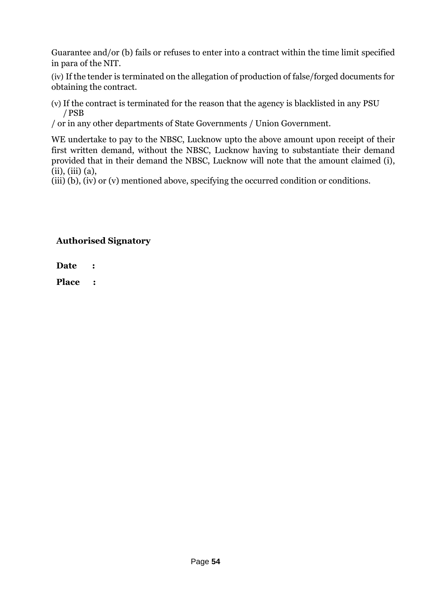Guarantee and/or (b) fails or refuses to enter into a contract within the time limit specified in para of the NIT.

(iv) If the tender is terminated on the allegation of production of false/forged documents for obtaining the contract.

(v) If the contract is terminated for the reason that the agency is blacklisted in any PSU /PSB

/ or in any other departments of State Governments / Union Government.

WE undertake to pay to the NBSC, Lucknow upto the above amount upon receipt of their first written demand, without the NBSC, Lucknow having to substantiate their demand provided that in their demand the NBSC, Lucknow will note that the amount claimed (i), (ii), (iii) (a),

(iii) (b), (iv) or (v) mentioned above, specifying the occurred condition or conditions.

# **Authorised Signatory**

**Date :**

**Place :**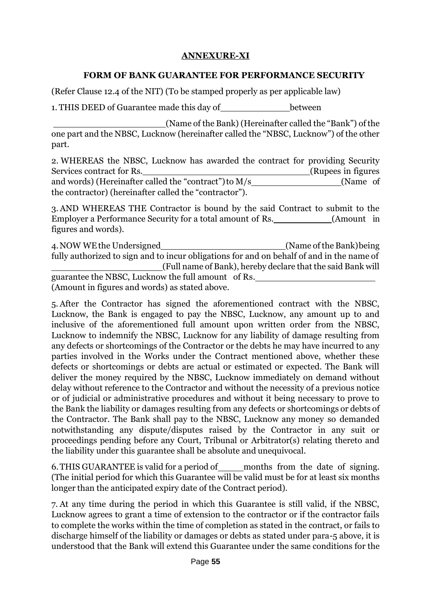# **ANNEXURE-XI**

#### **FORM OF BANK GUARANTEE FOR PERFORMANCE SECURITY**

(Refer Clause 12.4 of the NIT) (To be stamped properly as per applicable law)

1. THIS DEED of Guarantee made this day of between

(Name of the Bank) (Hereinafter called the "Bank") of the one part and the NBSC, Lucknow (hereinafter called the "NBSC, Lucknow") of the other part.

2. WHEREAS the NBSC, Lucknow has awarded the contract for providing Security Services contract for Rs. (Rupees in figures and words) (Hereinafter called the "contract") to M/s (Name of the contractor) (hereinafter called the "contractor").

3. AND WHEREAS THE Contractor is bound by the said Contract to submit to the Employer a Performance Security for a total amount of Rs. (Amount in figures and words).

4.NOW WEthe Undersigned (Name of the Bank)being fully authorized to sign and to incur obligations for and on behalf of and in the name of (Full name of Bank), hereby declare that the said Bank will guarantee the NBSC, Lucknow the full amount of Rs. (Amount in figures and words) as stated above.

5. After the Contractor has signed the aforementioned contract with the NBSC, Lucknow, the Bank is engaged to pay the NBSC, Lucknow, any amount up to and inclusive of the aforementioned full amount upon written order from the NBSC, Lucknow to indemnify the NBSC, Lucknow for any liability of damage resulting from any defects or shortcomings of the Contractor or the debts he may have incurred to any parties involved in the Works under the Contract mentioned above, whether these defects or shortcomings or debts are actual or estimated or expected. The Bank will deliver the money required by the NBSC, Lucknow immediately on demand without delay without reference to the Contractor and without the necessity of a previous notice or of judicial or administrative procedures and without it being necessary to prove to the Bank the liability or damages resulting from any defects or shortcomings or debts of the Contractor. The Bank shall pay to the NBSC, Lucknow any money so demanded notwithstanding any dispute/disputes raised by the Contractor in any suit or proceedings pending before any Court, Tribunal or Arbitrator(s) relating thereto and the liability under this guarantee shall be absolute and unequivocal.

6. THIS GUARANTEE is valid for a period of months from the date of signing. (The initial period for which this Guarantee will be valid must be for at least six months longer than the anticipated expiry date of the Contract period).

7. At any time during the period in which this Guarantee is still valid, if the NBSC, Lucknow agrees to grant a time of extension to the contractor or if the contractor fails to complete the works within the time of completion as stated in the contract, or fails to discharge himself of the liability or damages or debts as stated under para-5 above, it is understood that the Bank will extend this Guarantee under the same conditions for the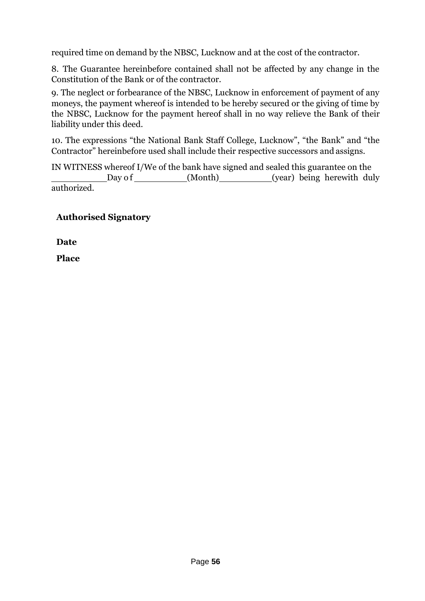required time on demand by the NBSC, Lucknow and at the cost of the contractor.

8. The Guarantee hereinbefore contained shall not be affected by any change in the Constitution of the Bank or of the contractor.

9. The neglect or forbearance of the NBSC, Lucknow in enforcement of payment of any moneys, the payment whereof is intended to be hereby secured or the giving of time by the NBSC, Lucknow for the payment hereof shall in no way relieve the Bank of their liability under this deed.

10. The expressions "the National Bank Staff College, Lucknow", "the Bank" and "the Contractor" hereinbefore used shall include their respective successors and assigns.

IN WITNESS whereof I/We of the bank have signed and sealed this guarantee on the Day of (Month) (Wear) being herewith duly authorized.

# **Authorised Signatory**

**Date**

**Place**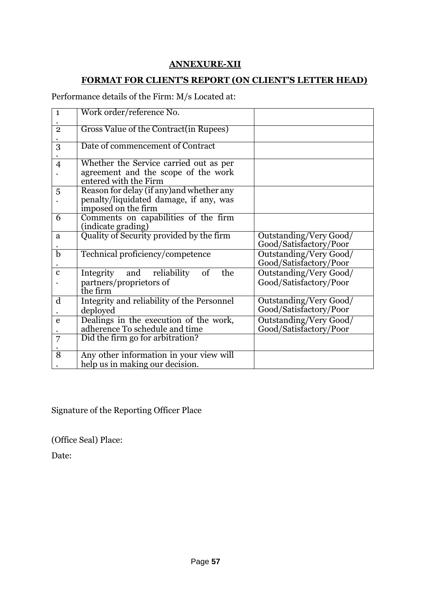# **ANNEXURE-XII**

# **FORMAT FOR CLIENT'S REPORT (ON CLIENT'S LETTER HEAD)**

Performance details of the Firm: M/s Located at:

| $\mathbf{1}$   | Work order/reference No.                   |                        |
|----------------|--------------------------------------------|------------------------|
|                |                                            |                        |
| $\overline{2}$ | Gross Value of the Contract (in Rupees)    |                        |
|                |                                            |                        |
| $\overline{3}$ | Date of commencement of Contract           |                        |
| $\overline{4}$ | Whether the Service carried out as per     |                        |
|                | agreement and the scope of the work        |                        |
|                | entered with the Firm                      |                        |
| 5              | Reason for delay (if any) and whether any  |                        |
|                | penalty/liquidated damage, if any, was     |                        |
|                | imposed on the firm                        |                        |
| 6              | Comments on capabilities of the firm       |                        |
|                | (indicate grading)                         |                        |
| a              | Quality of Security provided by the firm   | Outstanding/Very Good/ |
|                |                                            | Good/Satisfactory/Poor |
| $\overline{b}$ | Technical proficiency/competence           | Outstanding/Very Good/ |
|                |                                            | Good/Satisfactory/Poor |
| $\mathbf c$    | Integrity and reliability<br>the<br>of     | Outstanding/Very Good/ |
|                | partners/proprietors of                    | Good/Satisfactory/Poor |
|                | the firm                                   |                        |
| d              | Integrity and reliability of the Personnel | Outstanding/Very Good/ |
|                | deployed                                   | Good/Satisfactory/Poor |
| e              | Dealings in the execution of the work,     | Outstanding/Very Good/ |
|                | adherence To schedule and time             | Good/Satisfactory/Poor |
| $\overline{7}$ | Did the firm go for arbitration?           |                        |
|                |                                            |                        |
| $\overline{8}$ | Any other information in your view will    |                        |
|                | help us in making our decision.            |                        |

Signature of the Reporting Officer Place

(Office Seal) Place:

Date: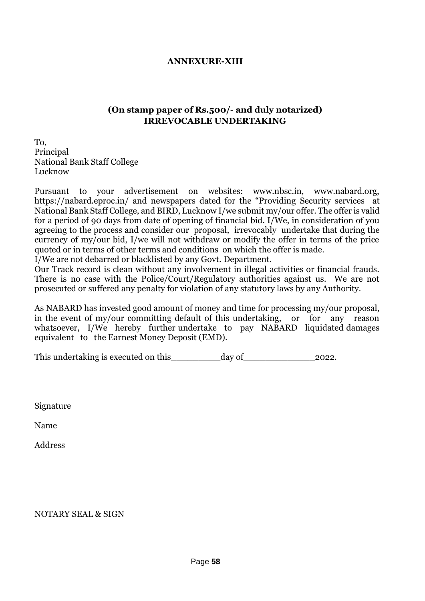#### **ANNEXURE-XIII**

#### **(On stamp paper of Rs.500/- and duly notarized) IRREVOCABLE UNDERTAKING**

To, Principal National Bank Staff College Lucknow

Pursuant to your advertisement on websites: www.nbsc.in, www.nabard.org, https://nabard.eproc.in/ and newspapers dated for the "Providing Security services at National Bank Staff College, and BIRD, Lucknow I/we submit my/our offer. The offer is valid for a period of 90 days from date of opening of financial bid. I/We, in consideration of you agreeing to the process and consider our proposal, irrevocably undertake that during the currency of my/our bid, I/we will not withdraw or modify the offer in terms of the price quoted or in terms of other terms and conditions on which the offer is made.

I/We are not debarred or blacklisted by any Govt. Department.

Our Track record is clean without any involvement in illegal activities or financial frauds. There is no case with the Police/Court/Regulatory authorities against us. We are not prosecuted or suffered any penalty for violation of any statutory laws by any Authority.

As NABARD has invested good amount of money and time for processing my/our proposal, in the event of my/our committing default of this undertaking, or for any reason whatsoever, I/We hereby further undertake to pay NABARD liquidated damages equivalent to the Earnest Money Deposit (EMD).

This undertaking is executed on this\_\_\_\_\_\_\_\_\_day of\_\_\_\_\_\_\_\_\_\_\_\_\_2022.

Signature

Name

Address

#### NOTARY SEAL & SIGN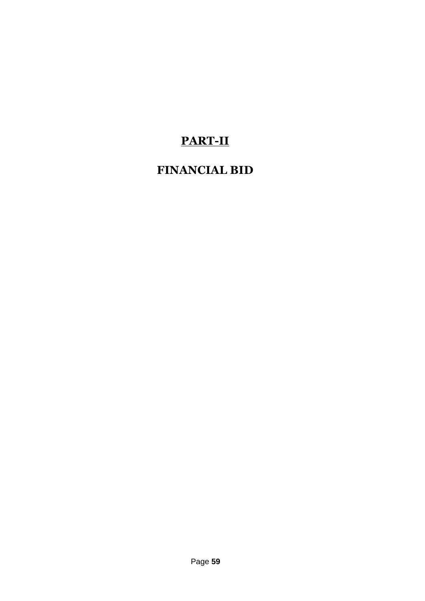# **PART-II**

# **FINANCIAL BID**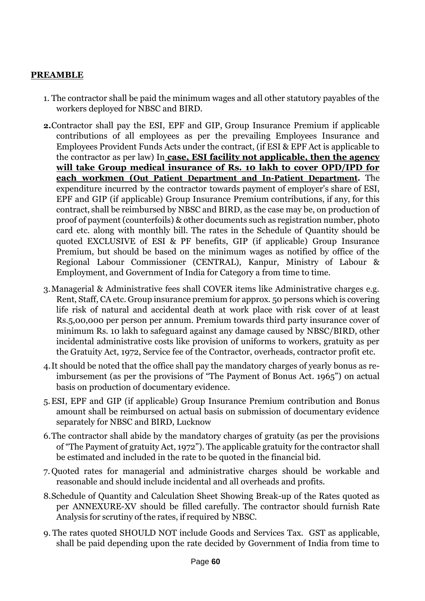# **PREAMBLE**

- 1. The contractor shall be paid the minimum wages and all other statutory payables of the workers deployed for NBSC and BIRD.
- **2.**Contractor shall pay the ESI, EPF and GIP, Group Insurance Premium if applicable contributions of all employees as per the prevailing Employees Insurance and Employees Provident Funds Acts under the contract, (if ESI & EPF Act is applicable to the contractor as per law) In **case, ESI facility not applicable, then the agency will take Group medical insurance of Rs. 10 lakh to cover OPD/IPD for each workmen (Out Patient Department and In-Patient Department.** The expenditure incurred by the contractor towards payment of employer's share of ESI, EPF and GIP (if applicable) Group Insurance Premium contributions, if any, for this contract, shall be reimbursed by NBSC and BIRD, as the case may be, on production of proof of payment (counterfoils) & other documents such as registration number, photo card etc. along with monthly bill. The rates in the Schedule of Quantity should be quoted EXCLUSIVE of ESI & PF benefits, GIP (if applicable) Group Insurance Premium, but should be based on the minimum wages as notified by office of the Regional Labour Commissioner (CENTRAL), Kanpur, Ministry of Labour & Employment, and Government of India for Category a from time to time.
- 3.Managerial & Administrative fees shall COVER items like Administrative charges e.g. Rent, Staff, CA etc. Group insurance premium for approx. 50 persons which is covering life risk of natural and accidental death at work place with risk cover of at least Rs.5,00,000 per person per annum. Premium towards third party insurance cover of minimum Rs. 10 lakh to safeguard against any damage caused by NBSC/BIRD, other incidental administrative costs like provision of uniforms to workers, gratuity as per the Gratuity Act, 1972, Service fee of the Contractor, overheads, contractor profit etc.
- 4.It should be noted that the office shall pay the mandatory charges of yearly bonus as reimbursement (as per the provisions of "The Payment of Bonus Act. 1965") on actual basis on production of documentary evidence.
- 5.ESI, EPF and GIP (if applicable) Group Insurance Premium contribution and Bonus amount shall be reimbursed on actual basis on submission of documentary evidence separately for NBSC and BIRD, Lucknow
- 6.The contractor shall abide by the mandatory charges of gratuity (as per the provisions of "The Payment of gratuity Act, 1972"). The applicable gratuity for the contractor shall be estimated and included in the rate to be quoted in the financial bid.
- 7. Quoted rates for managerial and administrative charges should be workable and reasonable and should include incidental and all overheads and profits.
- 8.Schedule of Quantity and Calculation Sheet Showing Break-up of the Rates quoted as per ANNEXURE-XV should be filled carefully. The contractor should furnish Rate Analysis for scrutiny of the rates, if required by NBSC.
- 9. The rates quoted SHOULD NOT include Goods and Services Tax. GST as applicable, shall be paid depending upon the rate decided by Government of India from time to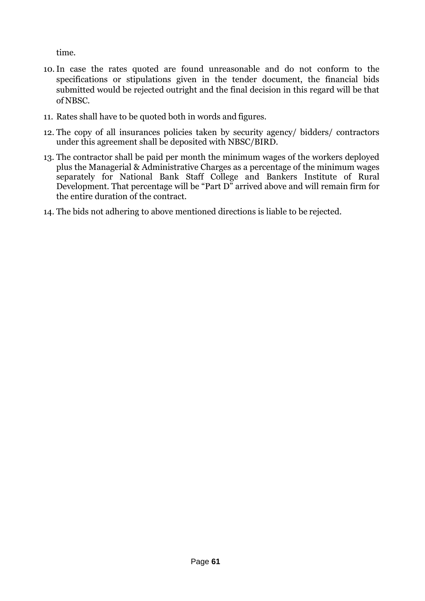time.

- 10.In case the rates quoted are found unreasonable and do not conform to the specifications or stipulations given in the tender document, the financial bids submitted would be rejected outright and the final decision in this regard will be that of NBSC.
- 11. Rates shall have to be quoted both in words and figures.
- 12. The copy of all insurances policies taken by security agency/ bidders/ contractors under this agreement shall be deposited with NBSC/BIRD.
- 13. The contractor shall be paid per month the minimum wages of the workers deployed plus the Managerial & Administrative Charges as a percentage of the minimum wages separately for National Bank Staff College and Bankers Institute of Rural Development. That percentage will be "Part D" arrived above and will remain firm for the entire duration of the contract.
- 14. The bids not adhering to above mentioned directions is liable to be rejected.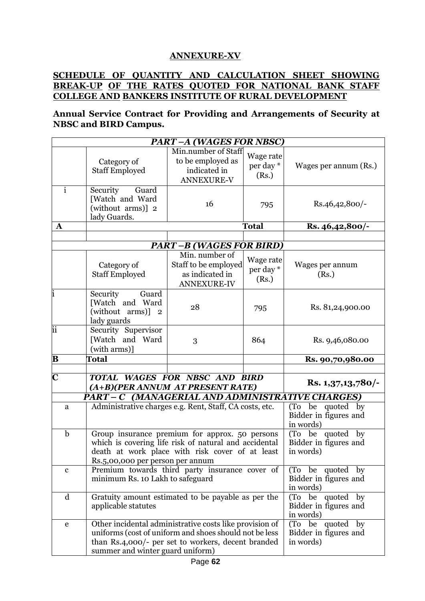#### **ANNEXURE-XV**

## **SCHEDULE OF QUANTITY AND CALCULATION SHEET SHOWING BREAK-UP OF THE RATES QUOTED FOR NATIONAL BANK STAFF COLLEGE AND BANKERS INSTITUTE OF RURAL DEVELOPMENT**

**Annual Service Contract for Providing and Arrangements of Security at NBSC and BIRD Campus.**

| <b>PART-A (WAGES FOR NBSC)</b> |                                                                                                                                                                                                             |                                                                                 |                                                        |                          |
|--------------------------------|-------------------------------------------------------------------------------------------------------------------------------------------------------------------------------------------------------------|---------------------------------------------------------------------------------|--------------------------------------------------------|--------------------------|
|                                | Category of<br><b>Staff Employed</b>                                                                                                                                                                        | Min.number of Staff<br>to be employed as<br>indicated in<br><b>ANNEXURE-V</b>   | Wage rate<br>per day *<br>(Rs.)                        | Wages per annum (Rs.)    |
| $\overline{i}$                 | Security<br>Guard<br>[Watch and Ward<br>(without arms)] 2<br>lady Guards.                                                                                                                                   | 16                                                                              | 795                                                    | Rs.46,42,800/-           |
| $\mathbf{A}$                   |                                                                                                                                                                                                             |                                                                                 | <b>Total</b>                                           | Rs. 46,42,800/-          |
|                                |                                                                                                                                                                                                             |                                                                                 |                                                        |                          |
|                                |                                                                                                                                                                                                             | <b>PART-B (WAGES FOR BIRD)</b>                                                  |                                                        |                          |
|                                | Category of<br><b>Staff Employed</b>                                                                                                                                                                        | Min. number of<br>Staff to be employed<br>as indicated in<br><b>ANNEXURE-IV</b> | Wage rate<br>per day *<br>(Rs.)                        | Wages per annum<br>(Rs.) |
| ı                              | Security<br>Guard<br>[Watch and Ward<br>(without arms)] 2<br>lady guards                                                                                                                                    | 28                                                                              | 795                                                    | Rs. 81,24,900.00         |
| iï                             | Security Supervisor<br>[Watch and Ward<br>(with arms)]                                                                                                                                                      | 3                                                                               | 864                                                    | Rs. 9,46,080.00          |
| $\bf{B}$                       | Total                                                                                                                                                                                                       |                                                                                 |                                                        | Rs. 90,70,980.00         |
| $\overline{\mathbf{C}}$        | TOTAL WAGES FOR NBSC AND BIRD                                                                                                                                                                               |                                                                                 |                                                        |                          |
|                                | (A+B)(PER ANNUM AT PRESENT RATE)                                                                                                                                                                            |                                                                                 |                                                        | Rs. $1,37,13,780$ -      |
|                                | PART - C (MANAGERIAL AND ADMINISTRATIVE CHARGES)                                                                                                                                                            |                                                                                 |                                                        |                          |
| a                              | Administrative charges e.g. Rent, Staff, CA costs, etc.                                                                                                                                                     |                                                                                 | (To be quoted by<br>Bidder in figures and<br>in words) |                          |
| $\mathbf b$                    | Group insurance premium for approx. 50 persons<br>which is covering life risk of natural and accidental<br>death at work place with risk cover of at least<br>Rs.5,00,000 per person per annum              |                                                                                 | (To be quoted by<br>Bidder in figures and<br>in words) |                          |
| $\mathbf c$                    | Premium towards third party insurance cover of<br>minimum Rs. 10 Lakh to safeguard                                                                                                                          |                                                                                 | (To be quoted by<br>Bidder in figures and<br>in words) |                          |
| $\mathbf d$                    | Gratuity amount estimated to be payable as per the<br>applicable statutes                                                                                                                                   |                                                                                 | (To be quoted by<br>Bidder in figures and<br>in words) |                          |
| e                              | Other incidental administrative costs like provision of<br>uniforms (cost of uniform and shoes should not be less<br>than Rs.4,000/- per set to workers, decent branded<br>summer and winter guard uniform) |                                                                                 | (To be quoted by<br>Bidder in figures and<br>in words) |                          |